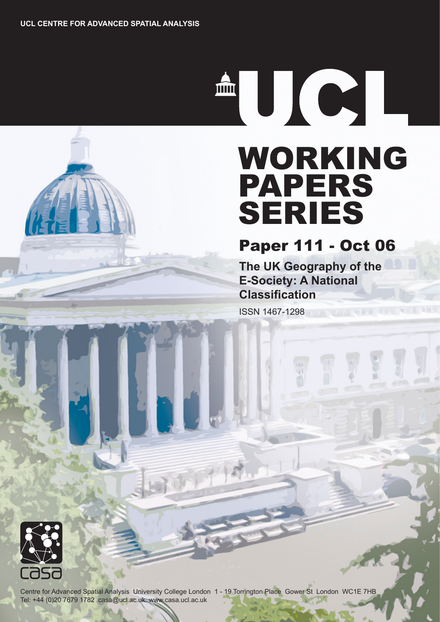THE RESEARCH

# WORKING PAPERS SERIES

## Paper 111 - Oct 06

**The UK Geography of the E-Society: A National Classification**

ISSN 1467-1298



Centre for Advanced Spatial Analysis University College London 1 - 19 Torrington Place Gower St London WC1E 7HB Tel: +44 (0)20 7679 1782 casa@ucl.ac.uk www.casa.ucl.ac.uk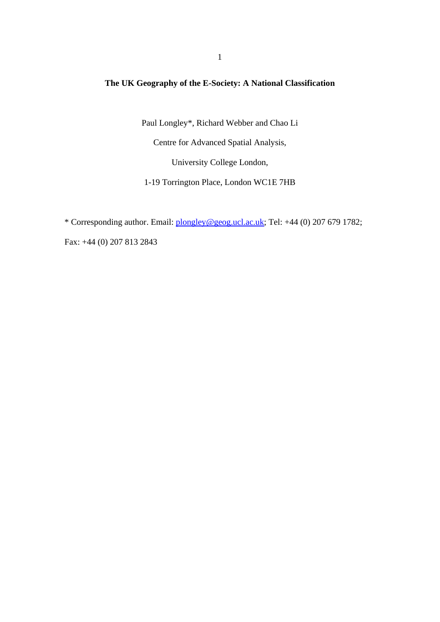#### **The UK Geography of the E-Society: A National Classification**

Paul Longley\*, Richard Webber and Chao Li

Centre for Advanced Spatial Analysis,

University College London,

1-19 Torrington Place, London WC1E 7HB

\* Corresponding author. Email: plongley@geog.ucl.ac.uk; Tel: +44 (0) 207 679 1782;

Fax: +44 (0) 207 813 2843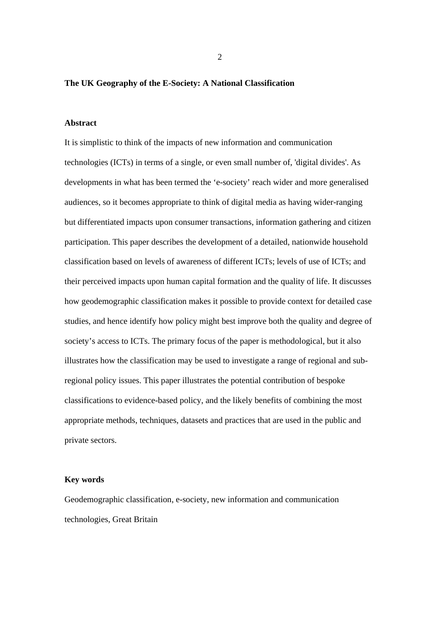#### **The UK Geography of the E-Society: A National Classification**

#### **Abstract**

It is simplistic to think of the impacts of new information and communication technologies (ICTs) in terms of a single, or even small number of, 'digital divides'. As developments in what has been termed the 'e-society' reach wider and more generalised audiences, so it becomes appropriate to think of digital media as having wider-ranging but differentiated impacts upon consumer transactions, information gathering and citizen participation. This paper describes the development of a detailed, nationwide household classification based on levels of awareness of different ICTs; levels of use of ICTs; and their perceived impacts upon human capital formation and the quality of life. It discusses how geodemographic classification makes it possible to provide context for detailed case studies, and hence identify how policy might best improve both the quality and degree of society's access to ICTs. The primary focus of the paper is methodological, but it also illustrates how the classification may be used to investigate a range of regional and subregional policy issues. This paper illustrates the potential contribution of bespoke classifications to evidence-based policy, and the likely benefits of combining the most appropriate methods, techniques, datasets and practices that are used in the public and private sectors.

#### **Key words**

Geodemographic classification, e-society, new information and communication technologies, Great Britain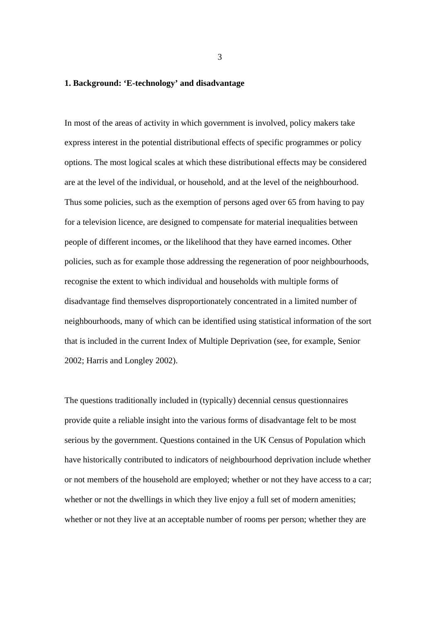#### **1. Background: 'E-technology' and disadvantage**

In most of the areas of activity in which government is involved, policy makers take express interest in the potential distributional effects of specific programmes or policy options. The most logical scales at which these distributional effects may be considered are at the level of the individual, or household, and at the level of the neighbourhood. Thus some policies, such as the exemption of persons aged over 65 from having to pay for a television licence, are designed to compensate for material inequalities between people of different incomes, or the likelihood that they have earned incomes. Other policies, such as for example those addressing the regeneration of poor neighbourhoods, recognise the extent to which individual and households with multiple forms of disadvantage find themselves disproportionately concentrated in a limited number of neighbourhoods, many of which can be identified using statistical information of the sort that is included in the current Index of Multiple Deprivation (see, for example, Senior 2002; Harris and Longley 2002).

The questions traditionally included in (typically) decennial census questionnaires provide quite a reliable insight into the various forms of disadvantage felt to be most serious by the government. Questions contained in the UK Census of Population which have historically contributed to indicators of neighbourhood deprivation include whether or not members of the household are employed; whether or not they have access to a car; whether or not the dwellings in which they live enjoy a full set of modern amenities; whether or not they live at an acceptable number of rooms per person; whether they are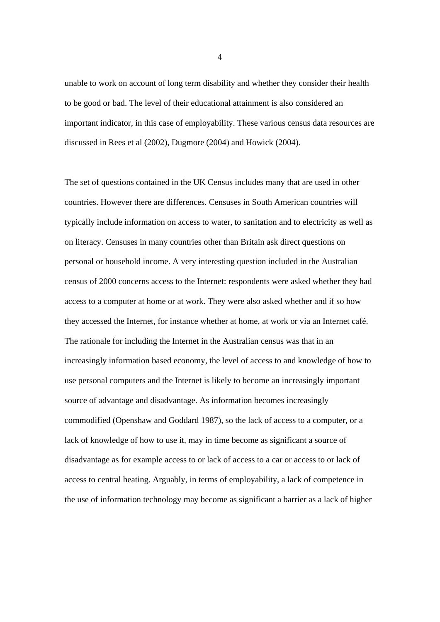unable to work on account of long term disability and whether they consider their health to be good or bad. The level of their educational attainment is also considered an important indicator, in this case of employability. These various census data resources are discussed in Rees et al (2002), Dugmore (2004) and Howick (2004).

The set of questions contained in the UK Census includes many that are used in other countries. However there are differences. Censuses in South American countries will typically include information on access to water, to sanitation and to electricity as well as on literacy. Censuses in many countries other than Britain ask direct questions on personal or household income. A very interesting question included in the Australian census of 2000 concerns access to the Internet: respondents were asked whether they had access to a computer at home or at work. They were also asked whether and if so how they accessed the Internet, for instance whether at home, at work or via an Internet café. The rationale for including the Internet in the Australian census was that in an increasingly information based economy, the level of access to and knowledge of how to use personal computers and the Internet is likely to become an increasingly important source of advantage and disadvantage. As information becomes increasingly commodified (Openshaw and Goddard 1987), so the lack of access to a computer, or a lack of knowledge of how to use it, may in time become as significant a source of disadvantage as for example access to or lack of access to a car or access to or lack of access to central heating. Arguably, in terms of employability, a lack of competence in the use of information technology may become as significant a barrier as a lack of higher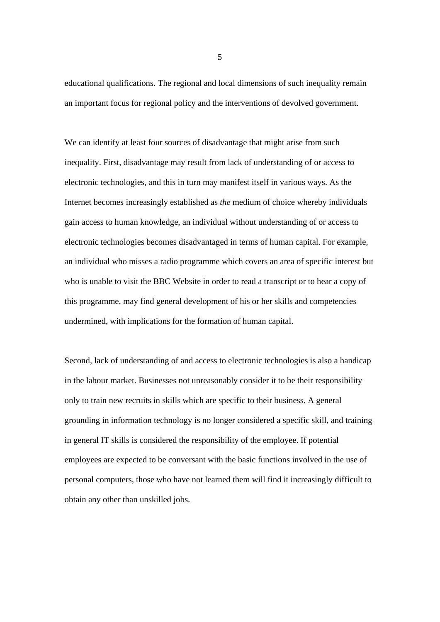educational qualifications. The regional and local dimensions of such inequality remain an important focus for regional policy and the interventions of devolved government.

We can identify at least four sources of disadvantage that might arise from such inequality. First, disadvantage may result from lack of understanding of or access to electronic technologies, and this in turn may manifest itself in various ways. As the Internet becomes increasingly established as *the* medium of choice whereby individuals gain access to human knowledge, an individual without understanding of or access to electronic technologies becomes disadvantaged in terms of human capital. For example, an individual who misses a radio programme which covers an area of specific interest but who is unable to visit the BBC Website in order to read a transcript or to hear a copy of this programme, may find general development of his or her skills and competencies undermined, with implications for the formation of human capital.

Second, lack of understanding of and access to electronic technologies is also a handicap in the labour market. Businesses not unreasonably consider it to be their responsibility only to train new recruits in skills which are specific to their business. A general grounding in information technology is no longer considered a specific skill, and training in general IT skills is considered the responsibility of the employee. If potential employees are expected to be conversant with the basic functions involved in the use of personal computers, those who have not learned them will find it increasingly difficult to obtain any other than unskilled jobs.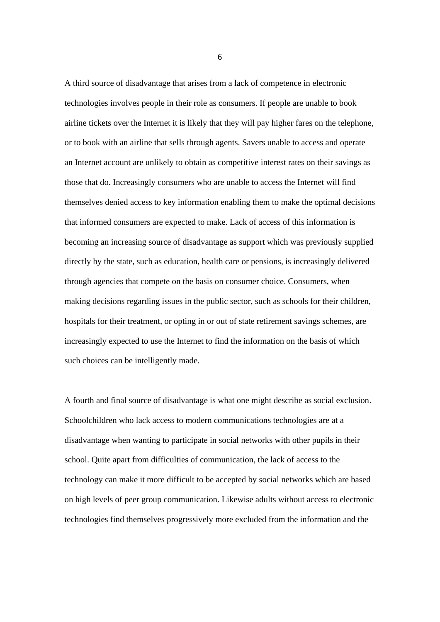A third source of disadvantage that arises from a lack of competence in electronic technologies involves people in their role as consumers. If people are unable to book airline tickets over the Internet it is likely that they will pay higher fares on the telephone, or to book with an airline that sells through agents. Savers unable to access and operate an Internet account are unlikely to obtain as competitive interest rates on their savings as those that do. Increasingly consumers who are unable to access the Internet will find themselves denied access to key information enabling them to make the optimal decisions that informed consumers are expected to make. Lack of access of this information is becoming an increasing source of disadvantage as support which was previously supplied directly by the state, such as education, health care or pensions, is increasingly delivered through agencies that compete on the basis on consumer choice. Consumers, when making decisions regarding issues in the public sector, such as schools for their children, hospitals for their treatment, or opting in or out of state retirement savings schemes, are increasingly expected to use the Internet to find the information on the basis of which such choices can be intelligently made.

A fourth and final source of disadvantage is what one might describe as social exclusion. Schoolchildren who lack access to modern communications technologies are at a disadvantage when wanting to participate in social networks with other pupils in their school. Quite apart from difficulties of communication, the lack of access to the technology can make it more difficult to be accepted by social networks which are based on high levels of peer group communication. Likewise adults without access to electronic technologies find themselves progressively more excluded from the information and the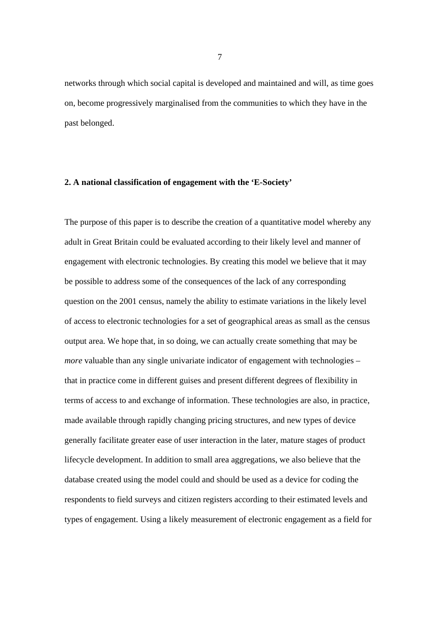networks through which social capital is developed and maintained and will, as time goes on, become progressively marginalised from the communities to which they have in the past belonged.

#### **2. A national classification of engagement with the 'E-Society'**

The purpose of this paper is to describe the creation of a quantitative model whereby any adult in Great Britain could be evaluated according to their likely level and manner of engagement with electronic technologies. By creating this model we believe that it may be possible to address some of the consequences of the lack of any corresponding question on the 2001 census, namely the ability to estimate variations in the likely level of access to electronic technologies for a set of geographical areas as small as the census output area. We hope that, in so doing, we can actually create something that may be *more* valuable than any single univariate indicator of engagement with technologies – that in practice come in different guises and present different degrees of flexibility in terms of access to and exchange of information. These technologies are also, in practice, made available through rapidly changing pricing structures, and new types of device generally facilitate greater ease of user interaction in the later, mature stages of product lifecycle development. In addition to small area aggregations, we also believe that the database created using the model could and should be used as a device for coding the respondents to field surveys and citizen registers according to their estimated levels and types of engagement. Using a likely measurement of electronic engagement as a field for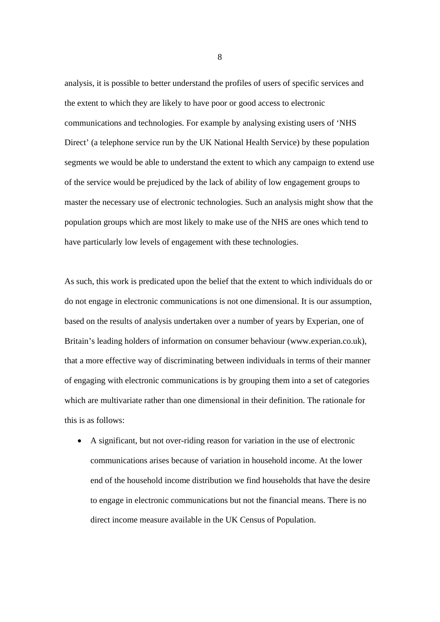analysis, it is possible to better understand the profiles of users of specific services and the extent to which they are likely to have poor or good access to electronic communications and technologies. For example by analysing existing users of 'NHS Direct' (a telephone service run by the UK National Health Service) by these population segments we would be able to understand the extent to which any campaign to extend use of the service would be prejudiced by the lack of ability of low engagement groups to master the necessary use of electronic technologies. Such an analysis might show that the population groups which are most likely to make use of the NHS are ones which tend to have particularly low levels of engagement with these technologies.

As such, this work is predicated upon the belief that the extent to which individuals do or do not engage in electronic communications is not one dimensional. It is our assumption, based on the results of analysis undertaken over a number of years by Experian, one of Britain's leading holders of information on consumer behaviour (www.experian.co.uk), that a more effective way of discriminating between individuals in terms of their manner of engaging with electronic communications is by grouping them into a set of categories which are multivariate rather than one dimensional in their definition. The rationale for this is as follows:

• A significant, but not over-riding reason for variation in the use of electronic communications arises because of variation in household income. At the lower end of the household income distribution we find households that have the desire to engage in electronic communications but not the financial means. There is no direct income measure available in the UK Census of Population.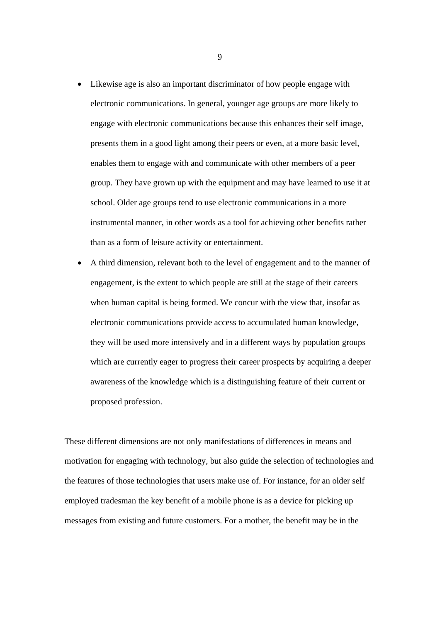- Likewise age is also an important discriminator of how people engage with electronic communications. In general, younger age groups are more likely to engage with electronic communications because this enhances their self image, presents them in a good light among their peers or even, at a more basic level, enables them to engage with and communicate with other members of a peer group. They have grown up with the equipment and may have learned to use it at school. Older age groups tend to use electronic communications in a more instrumental manner, in other words as a tool for achieving other benefits rather than as a form of leisure activity or entertainment.
- A third dimension, relevant both to the level of engagement and to the manner of engagement, is the extent to which people are still at the stage of their careers when human capital is being formed. We concur with the view that, insofar as electronic communications provide access to accumulated human knowledge, they will be used more intensively and in a different ways by population groups which are currently eager to progress their career prospects by acquiring a deeper awareness of the knowledge which is a distinguishing feature of their current or proposed profession.

These different dimensions are not only manifestations of differences in means and motivation for engaging with technology, but also guide the selection of technologies and the features of those technologies that users make use of. For instance, for an older self employed tradesman the key benefit of a mobile phone is as a device for picking up messages from existing and future customers. For a mother, the benefit may be in the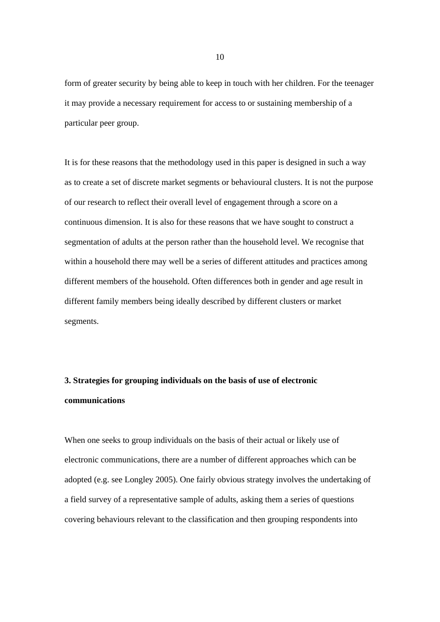form of greater security by being able to keep in touch with her children. For the teenager it may provide a necessary requirement for access to or sustaining membership of a particular peer group.

It is for these reasons that the methodology used in this paper is designed in such a way as to create a set of discrete market segments or behavioural clusters. It is not the purpose of our research to reflect their overall level of engagement through a score on a continuous dimension. It is also for these reasons that we have sought to construct a segmentation of adults at the person rather than the household level. We recognise that within a household there may well be a series of different attitudes and practices among different members of the household. Often differences both in gender and age result in different family members being ideally described by different clusters or market segments.

### **3. Strategies for grouping individuals on the basis of use of electronic communications**

When one seeks to group individuals on the basis of their actual or likely use of electronic communications, there are a number of different approaches which can be adopted (e.g. see Longley 2005). One fairly obvious strategy involves the undertaking of a field survey of a representative sample of adults, asking them a series of questions covering behaviours relevant to the classification and then grouping respondents into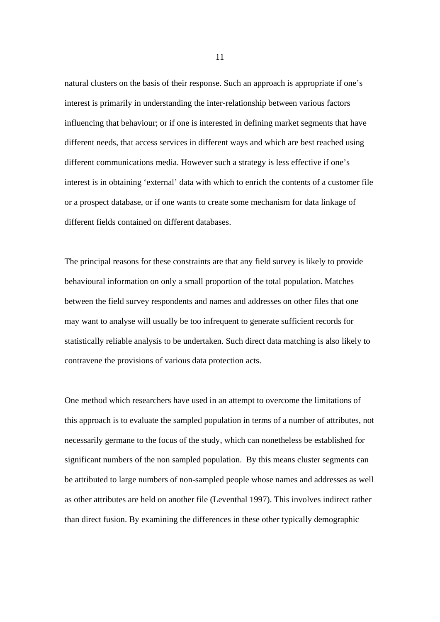natural clusters on the basis of their response. Such an approach is appropriate if one's interest is primarily in understanding the inter-relationship between various factors influencing that behaviour; or if one is interested in defining market segments that have different needs, that access services in different ways and which are best reached using different communications media. However such a strategy is less effective if one's interest is in obtaining 'external' data with which to enrich the contents of a customer file or a prospect database, or if one wants to create some mechanism for data linkage of different fields contained on different databases.

The principal reasons for these constraints are that any field survey is likely to provide behavioural information on only a small proportion of the total population. Matches between the field survey respondents and names and addresses on other files that one may want to analyse will usually be too infrequent to generate sufficient records for statistically reliable analysis to be undertaken. Such direct data matching is also likely to contravene the provisions of various data protection acts.

One method which researchers have used in an attempt to overcome the limitations of this approach is to evaluate the sampled population in terms of a number of attributes, not necessarily germane to the focus of the study, which can nonetheless be established for significant numbers of the non sampled population. By this means cluster segments can be attributed to large numbers of non-sampled people whose names and addresses as well as other attributes are held on another file (Leventhal 1997). This involves indirect rather than direct fusion. By examining the differences in these other typically demographic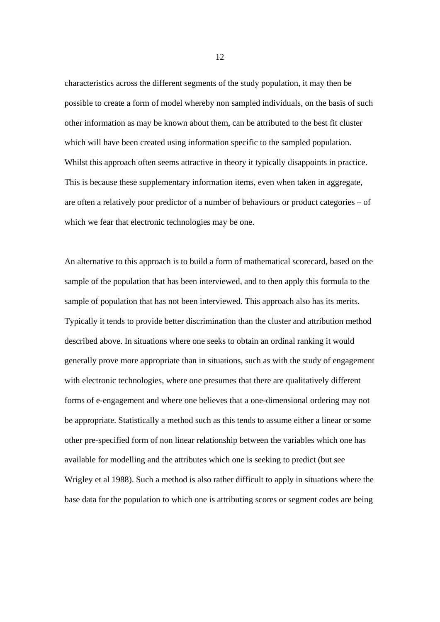characteristics across the different segments of the study population, it may then be possible to create a form of model whereby non sampled individuals, on the basis of such other information as may be known about them, can be attributed to the best fit cluster which will have been created using information specific to the sampled population. Whilst this approach often seems attractive in theory it typically disappoints in practice. This is because these supplementary information items, even when taken in aggregate, are often a relatively poor predictor of a number of behaviours or product categories – of which we fear that electronic technologies may be one.

An alternative to this approach is to build a form of mathematical scorecard, based on the sample of the population that has been interviewed, and to then apply this formula to the sample of population that has not been interviewed. This approach also has its merits. Typically it tends to provide better discrimination than the cluster and attribution method described above. In situations where one seeks to obtain an ordinal ranking it would generally prove more appropriate than in situations, such as with the study of engagement with electronic technologies, where one presumes that there are qualitatively different forms of e-engagement and where one believes that a one-dimensional ordering may not be appropriate. Statistically a method such as this tends to assume either a linear or some other pre-specified form of non linear relationship between the variables which one has available for modelling and the attributes which one is seeking to predict (but see Wrigley et al 1988). Such a method is also rather difficult to apply in situations where the base data for the population to which one is attributing scores or segment codes are being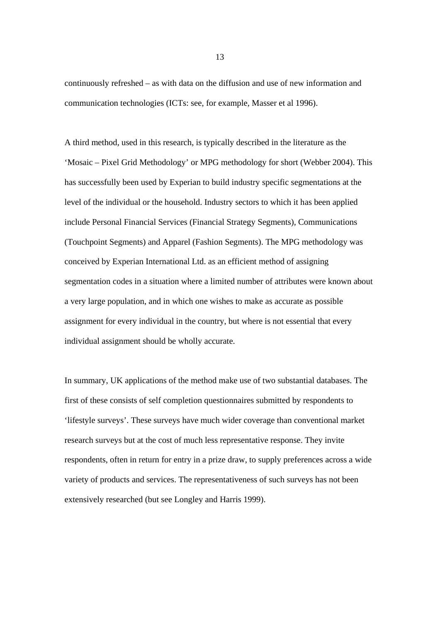continuously refreshed – as with data on the diffusion and use of new information and communication technologies (ICTs: see, for example, Masser et al 1996).

A third method, used in this research, is typically described in the literature as the 'Mosaic – Pixel Grid Methodology' or MPG methodology for short (Webber 2004). This has successfully been used by Experian to build industry specific segmentations at the level of the individual or the household. Industry sectors to which it has been applied include Personal Financial Services (Financial Strategy Segments), Communications (Touchpoint Segments) and Apparel (Fashion Segments). The MPG methodology was conceived by Experian International Ltd. as an efficient method of assigning segmentation codes in a situation where a limited number of attributes were known about a very large population, and in which one wishes to make as accurate as possible assignment for every individual in the country, but where is not essential that every individual assignment should be wholly accurate.

In summary, UK applications of the method make use of two substantial databases. The first of these consists of self completion questionnaires submitted by respondents to 'lifestyle surveys'. These surveys have much wider coverage than conventional market research surveys but at the cost of much less representative response. They invite respondents, often in return for entry in a prize draw, to supply preferences across a wide variety of products and services. The representativeness of such surveys has not been extensively researched (but see Longley and Harris 1999).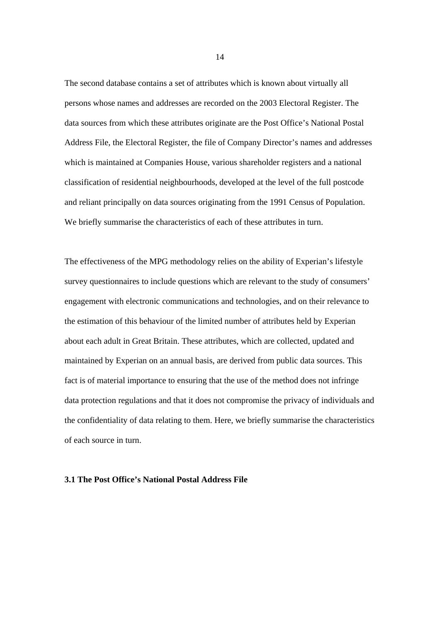The second database contains a set of attributes which is known about virtually all persons whose names and addresses are recorded on the 2003 Electoral Register. The data sources from which these attributes originate are the Post Office's National Postal Address File, the Electoral Register, the file of Company Director's names and addresses which is maintained at Companies House, various shareholder registers and a national classification of residential neighbourhoods, developed at the level of the full postcode and reliant principally on data sources originating from the 1991 Census of Population. We briefly summarise the characteristics of each of these attributes in turn.

The effectiveness of the MPG methodology relies on the ability of Experian's lifestyle survey questionnaires to include questions which are relevant to the study of consumers' engagement with electronic communications and technologies, and on their relevance to the estimation of this behaviour of the limited number of attributes held by Experian about each adult in Great Britain. These attributes, which are collected, updated and maintained by Experian on an annual basis, are derived from public data sources. This fact is of material importance to ensuring that the use of the method does not infringe data protection regulations and that it does not compromise the privacy of individuals and the confidentiality of data relating to them. Here, we briefly summarise the characteristics of each source in turn.

#### **3.1 The Post Office's National Postal Address File**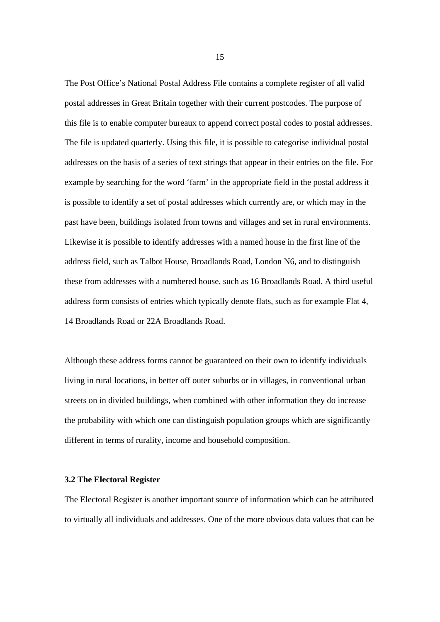The Post Office's National Postal Address File contains a complete register of all valid postal addresses in Great Britain together with their current postcodes. The purpose of this file is to enable computer bureaux to append correct postal codes to postal addresses. The file is updated quarterly. Using this file, it is possible to categorise individual postal addresses on the basis of a series of text strings that appear in their entries on the file. For example by searching for the word 'farm' in the appropriate field in the postal address it is possible to identify a set of postal addresses which currently are, or which may in the past have been, buildings isolated from towns and villages and set in rural environments. Likewise it is possible to identify addresses with a named house in the first line of the address field, such as Talbot House, Broadlands Road, London N6, and to distinguish these from addresses with a numbered house, such as 16 Broadlands Road. A third useful address form consists of entries which typically denote flats, such as for example Flat 4, 14 Broadlands Road or 22A Broadlands Road.

Although these address forms cannot be guaranteed on their own to identify individuals living in rural locations, in better off outer suburbs or in villages, in conventional urban streets on in divided buildings, when combined with other information they do increase the probability with which one can distinguish population groups which are significantly different in terms of rurality, income and household composition.

#### **3.2 The Electoral Register**

The Electoral Register is another important source of information which can be attributed to virtually all individuals and addresses. One of the more obvious data values that can be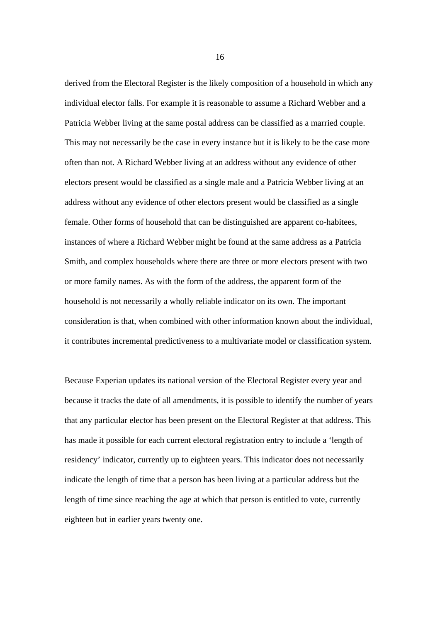derived from the Electoral Register is the likely composition of a household in which any individual elector falls. For example it is reasonable to assume a Richard Webber and a Patricia Webber living at the same postal address can be classified as a married couple. This may not necessarily be the case in every instance but it is likely to be the case more often than not. A Richard Webber living at an address without any evidence of other electors present would be classified as a single male and a Patricia Webber living at an address without any evidence of other electors present would be classified as a single female. Other forms of household that can be distinguished are apparent co-habitees, instances of where a Richard Webber might be found at the same address as a Patricia Smith, and complex households where there are three or more electors present with two or more family names. As with the form of the address, the apparent form of the household is not necessarily a wholly reliable indicator on its own. The important consideration is that, when combined with other information known about the individual, it contributes incremental predictiveness to a multivariate model or classification system.

Because Experian updates its national version of the Electoral Register every year and because it tracks the date of all amendments, it is possible to identify the number of years that any particular elector has been present on the Electoral Register at that address. This has made it possible for each current electoral registration entry to include a 'length of residency' indicator, currently up to eighteen years. This indicator does not necessarily indicate the length of time that a person has been living at a particular address but the length of time since reaching the age at which that person is entitled to vote, currently eighteen but in earlier years twenty one.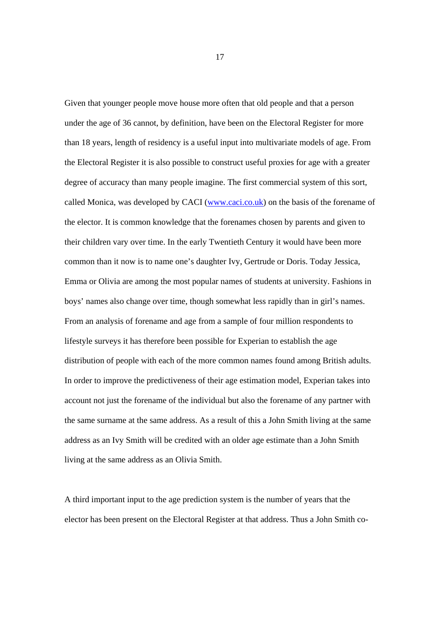Given that younger people move house more often that old people and that a person under the age of 36 cannot, by definition, have been on the Electoral Register for more than 18 years, length of residency is a useful input into multivariate models of age. From the Electoral Register it is also possible to construct useful proxies for age with a greater degree of accuracy than many people imagine. The first commercial system of this sort, called Monica, was developed by CACI (www.caci.co.uk) on the basis of the forename of the elector. It is common knowledge that the forenames chosen by parents and given to their children vary over time. In the early Twentieth Century it would have been more common than it now is to name one's daughter Ivy, Gertrude or Doris. Today Jessica, Emma or Olivia are among the most popular names of students at university. Fashions in boys' names also change over time, though somewhat less rapidly than in girl's names. From an analysis of forename and age from a sample of four million respondents to lifestyle surveys it has therefore been possible for Experian to establish the age distribution of people with each of the more common names found among British adults. In order to improve the predictiveness of their age estimation model, Experian takes into account not just the forename of the individual but also the forename of any partner with the same surname at the same address. As a result of this a John Smith living at the same address as an Ivy Smith will be credited with an older age estimate than a John Smith living at the same address as an Olivia Smith.

A third important input to the age prediction system is the number of years that the elector has been present on the Electoral Register at that address. Thus a John Smith co-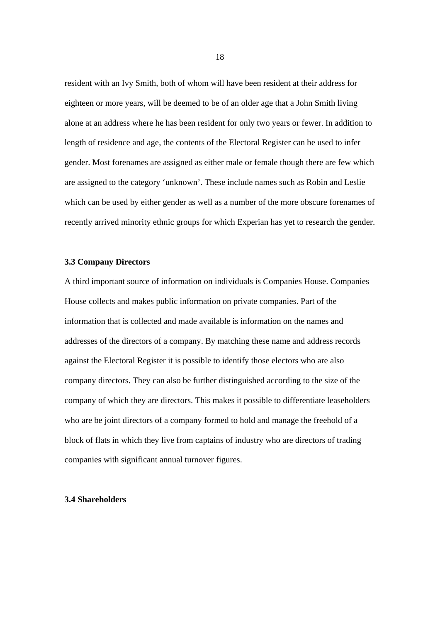resident with an Ivy Smith, both of whom will have been resident at their address for eighteen or more years, will be deemed to be of an older age that a John Smith living alone at an address where he has been resident for only two years or fewer. In addition to length of residence and age, the contents of the Electoral Register can be used to infer gender. Most forenames are assigned as either male or female though there are few which are assigned to the category 'unknown'. These include names such as Robin and Leslie which can be used by either gender as well as a number of the more obscure forenames of recently arrived minority ethnic groups for which Experian has yet to research the gender.

#### **3.3 Company Directors**

A third important source of information on individuals is Companies House. Companies House collects and makes public information on private companies. Part of the information that is collected and made available is information on the names and addresses of the directors of a company. By matching these name and address records against the Electoral Register it is possible to identify those electors who are also company directors. They can also be further distinguished according to the size of the company of which they are directors. This makes it possible to differentiate leaseholders who are be joint directors of a company formed to hold and manage the freehold of a block of flats in which they live from captains of industry who are directors of trading companies with significant annual turnover figures.

#### **3.4 Shareholders**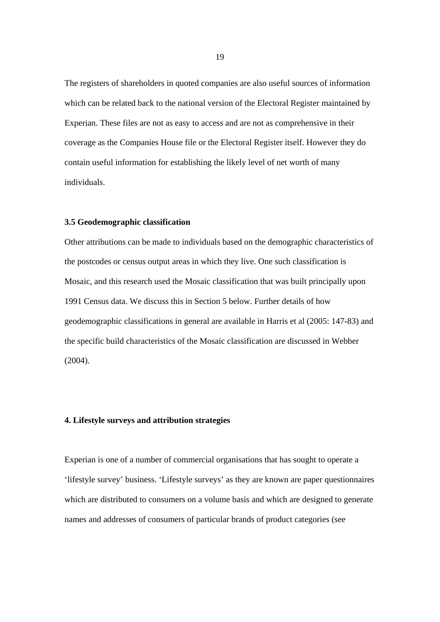The registers of shareholders in quoted companies are also useful sources of information which can be related back to the national version of the Electoral Register maintained by Experian. These files are not as easy to access and are not as comprehensive in their coverage as the Companies House file or the Electoral Register itself. However they do contain useful information for establishing the likely level of net worth of many individuals.

#### **3.5 Geodemographic classification**

Other attributions can be made to individuals based on the demographic characteristics of the postcodes or census output areas in which they live. One such classification is Mosaic, and this research used the Mosaic classification that was built principally upon 1991 Census data. We discuss this in Section 5 below. Further details of how geodemographic classifications in general are available in Harris et al (2005: 147-83) and the specific build characteristics of the Mosaic classification are discussed in Webber (2004).

#### **4. Lifestyle surveys and attribution strategies**

Experian is one of a number of commercial organisations that has sought to operate a 'lifestyle survey' business. 'Lifestyle surveys' as they are known are paper questionnaires which are distributed to consumers on a volume basis and which are designed to generate names and addresses of consumers of particular brands of product categories (see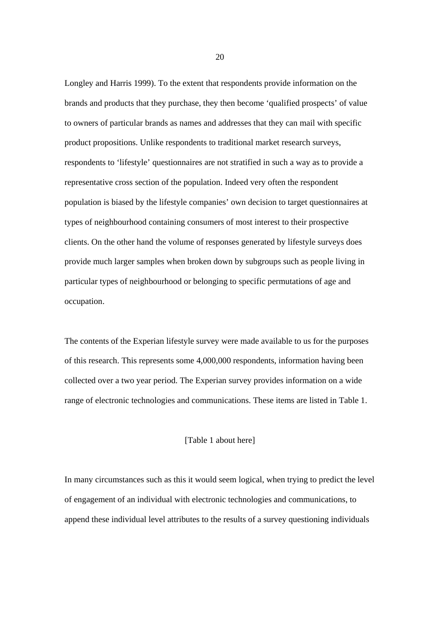Longley and Harris 1999). To the extent that respondents provide information on the brands and products that they purchase, they then become 'qualified prospects' of value to owners of particular brands as names and addresses that they can mail with specific product propositions. Unlike respondents to traditional market research surveys, respondents to 'lifestyle' questionnaires are not stratified in such a way as to provide a representative cross section of the population. Indeed very often the respondent population is biased by the lifestyle companies' own decision to target questionnaires at types of neighbourhood containing consumers of most interest to their prospective clients. On the other hand the volume of responses generated by lifestyle surveys does provide much larger samples when broken down by subgroups such as people living in particular types of neighbourhood or belonging to specific permutations of age and occupation.

The contents of the Experian lifestyle survey were made available to us for the purposes of this research. This represents some 4,000,000 respondents, information having been collected over a two year period. The Experian survey provides information on a wide range of electronic technologies and communications. These items are listed in Table 1.

#### [Table 1 about here]

In many circumstances such as this it would seem logical, when trying to predict the level of engagement of an individual with electronic technologies and communications, to append these individual level attributes to the results of a survey questioning individuals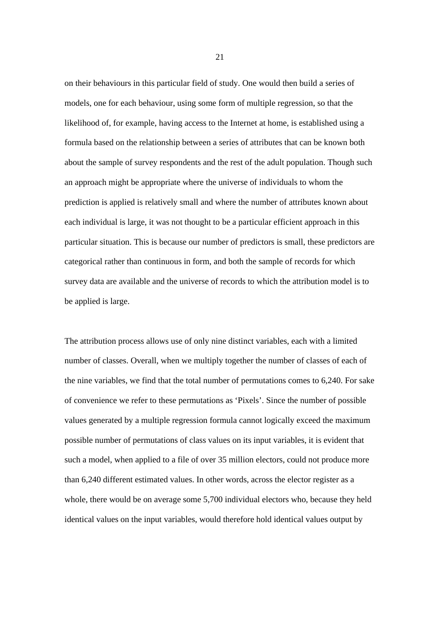on their behaviours in this particular field of study. One would then build a series of models, one for each behaviour, using some form of multiple regression, so that the likelihood of, for example, having access to the Internet at home, is established using a formula based on the relationship between a series of attributes that can be known both about the sample of survey respondents and the rest of the adult population. Though such an approach might be appropriate where the universe of individuals to whom the prediction is applied is relatively small and where the number of attributes known about each individual is large, it was not thought to be a particular efficient approach in this particular situation. This is because our number of predictors is small, these predictors are categorical rather than continuous in form, and both the sample of records for which survey data are available and the universe of records to which the attribution model is to be applied is large.

The attribution process allows use of only nine distinct variables, each with a limited number of classes. Overall, when we multiply together the number of classes of each of the nine variables, we find that the total number of permutations comes to 6,240. For sake of convenience we refer to these permutations as 'Pixels'. Since the number of possible values generated by a multiple regression formula cannot logically exceed the maximum possible number of permutations of class values on its input variables, it is evident that such a model, when applied to a file of over 35 million electors, could not produce more than 6,240 different estimated values. In other words, across the elector register as a whole, there would be on average some 5,700 individual electors who, because they held identical values on the input variables, would therefore hold identical values output by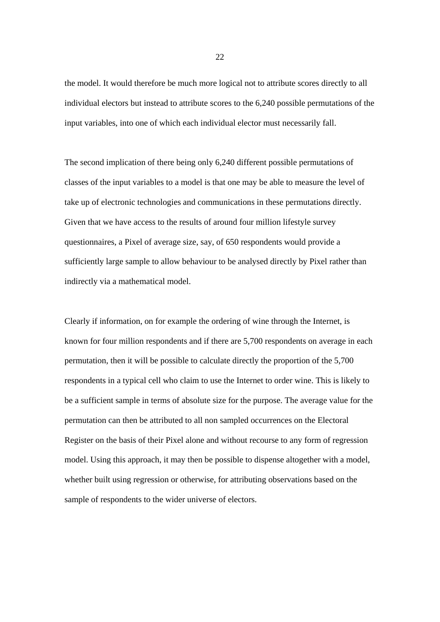the model. It would therefore be much more logical not to attribute scores directly to all individual electors but instead to attribute scores to the 6,240 possible permutations of the input variables, into one of which each individual elector must necessarily fall.

The second implication of there being only 6,240 different possible permutations of classes of the input variables to a model is that one may be able to measure the level of take up of electronic technologies and communications in these permutations directly. Given that we have access to the results of around four million lifestyle survey questionnaires, a Pixel of average size, say, of 650 respondents would provide a sufficiently large sample to allow behaviour to be analysed directly by Pixel rather than indirectly via a mathematical model.

Clearly if information, on for example the ordering of wine through the Internet, is known for four million respondents and if there are 5,700 respondents on average in each permutation, then it will be possible to calculate directly the proportion of the 5,700 respondents in a typical cell who claim to use the Internet to order wine. This is likely to be a sufficient sample in terms of absolute size for the purpose. The average value for the permutation can then be attributed to all non sampled occurrences on the Electoral Register on the basis of their Pixel alone and without recourse to any form of regression model. Using this approach, it may then be possible to dispense altogether with a model, whether built using regression or otherwise, for attributing observations based on the sample of respondents to the wider universe of electors.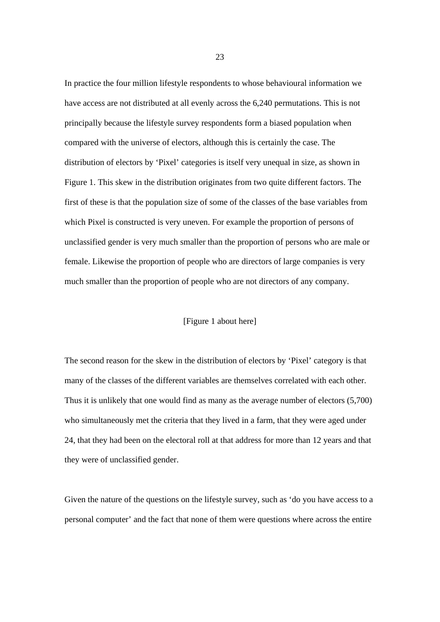In practice the four million lifestyle respondents to whose behavioural information we have access are not distributed at all evenly across the 6,240 permutations. This is not principally because the lifestyle survey respondents form a biased population when compared with the universe of electors, although this is certainly the case. The distribution of electors by 'Pixel' categories is itself very unequal in size, as shown in Figure 1. This skew in the distribution originates from two quite different factors. The first of these is that the population size of some of the classes of the base variables from which Pixel is constructed is very uneven. For example the proportion of persons of unclassified gender is very much smaller than the proportion of persons who are male or female. Likewise the proportion of people who are directors of large companies is very much smaller than the proportion of people who are not directors of any company.

#### [Figure 1 about here]

The second reason for the skew in the distribution of electors by 'Pixel' category is that many of the classes of the different variables are themselves correlated with each other. Thus it is unlikely that one would find as many as the average number of electors (5,700) who simultaneously met the criteria that they lived in a farm, that they were aged under 24, that they had been on the electoral roll at that address for more than 12 years and that they were of unclassified gender.

Given the nature of the questions on the lifestyle survey, such as 'do you have access to a personal computer' and the fact that none of them were questions where across the entire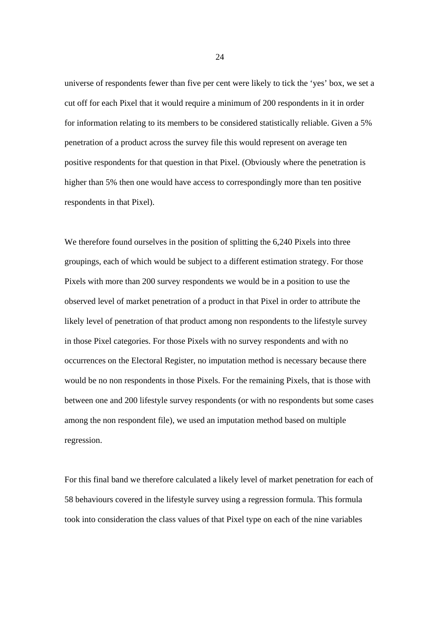universe of respondents fewer than five per cent were likely to tick the 'yes' box, we set a cut off for each Pixel that it would require a minimum of 200 respondents in it in order for information relating to its members to be considered statistically reliable. Given a 5% penetration of a product across the survey file this would represent on average ten positive respondents for that question in that Pixel. (Obviously where the penetration is higher than 5% then one would have access to correspondingly more than ten positive respondents in that Pixel).

We therefore found ourselves in the position of splitting the 6,240 Pixels into three groupings, each of which would be subject to a different estimation strategy. For those Pixels with more than 200 survey respondents we would be in a position to use the observed level of market penetration of a product in that Pixel in order to attribute the likely level of penetration of that product among non respondents to the lifestyle survey in those Pixel categories. For those Pixels with no survey respondents and with no occurrences on the Electoral Register, no imputation method is necessary because there would be no non respondents in those Pixels. For the remaining Pixels, that is those with between one and 200 lifestyle survey respondents (or with no respondents but some cases among the non respondent file), we used an imputation method based on multiple regression.

For this final band we therefore calculated a likely level of market penetration for each of 58 behaviours covered in the lifestyle survey using a regression formula. This formula took into consideration the class values of that Pixel type on each of the nine variables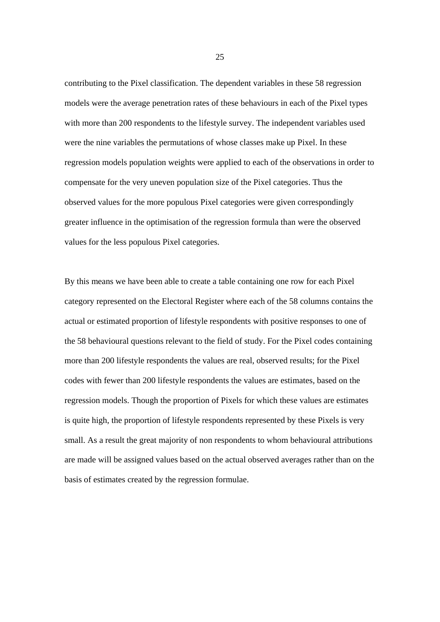contributing to the Pixel classification. The dependent variables in these 58 regression models were the average penetration rates of these behaviours in each of the Pixel types with more than 200 respondents to the lifestyle survey. The independent variables used were the nine variables the permutations of whose classes make up Pixel. In these regression models population weights were applied to each of the observations in order to compensate for the very uneven population size of the Pixel categories. Thus the observed values for the more populous Pixel categories were given correspondingly greater influence in the optimisation of the regression formula than were the observed values for the less populous Pixel categories.

By this means we have been able to create a table containing one row for each Pixel category represented on the Electoral Register where each of the 58 columns contains the actual or estimated proportion of lifestyle respondents with positive responses to one of the 58 behavioural questions relevant to the field of study. For the Pixel codes containing more than 200 lifestyle respondents the values are real, observed results; for the Pixel codes with fewer than 200 lifestyle respondents the values are estimates, based on the regression models. Though the proportion of Pixels for which these values are estimates is quite high, the proportion of lifestyle respondents represented by these Pixels is very small. As a result the great majority of non respondents to whom behavioural attributions are made will be assigned values based on the actual observed averages rather than on the basis of estimates created by the regression formulae.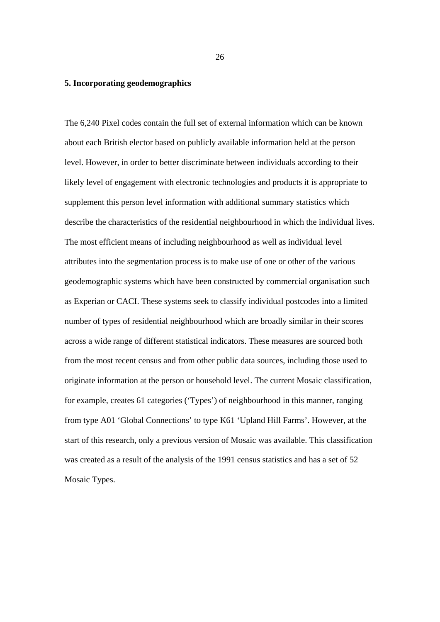#### **5. Incorporating geodemographics**

The 6,240 Pixel codes contain the full set of external information which can be known about each British elector based on publicly available information held at the person level. However, in order to better discriminate between individuals according to their likely level of engagement with electronic technologies and products it is appropriate to supplement this person level information with additional summary statistics which describe the characteristics of the residential neighbourhood in which the individual lives. The most efficient means of including neighbourhood as well as individual level attributes into the segmentation process is to make use of one or other of the various geodemographic systems which have been constructed by commercial organisation such as Experian or CACI. These systems seek to classify individual postcodes into a limited number of types of residential neighbourhood which are broadly similar in their scores across a wide range of different statistical indicators. These measures are sourced both from the most recent census and from other public data sources, including those used to originate information at the person or household level. The current Mosaic classification, for example, creates 61 categories ('Types') of neighbourhood in this manner, ranging from type A01 'Global Connections' to type K61 'Upland Hill Farms'. However, at the start of this research, only a previous version of Mosaic was available. This classification was created as a result of the analysis of the 1991 census statistics and has a set of 52 Mosaic Types.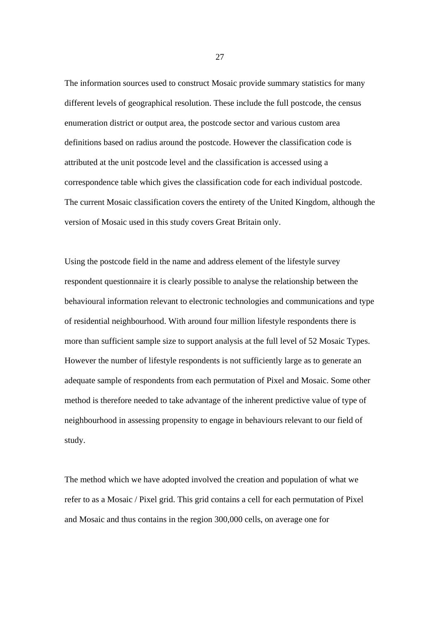The information sources used to construct Mosaic provide summary statistics for many different levels of geographical resolution. These include the full postcode, the census enumeration district or output area, the postcode sector and various custom area definitions based on radius around the postcode. However the classification code is attributed at the unit postcode level and the classification is accessed using a correspondence table which gives the classification code for each individual postcode. The current Mosaic classification covers the entirety of the United Kingdom, although the version of Mosaic used in this study covers Great Britain only.

Using the postcode field in the name and address element of the lifestyle survey respondent questionnaire it is clearly possible to analyse the relationship between the behavioural information relevant to electronic technologies and communications and type of residential neighbourhood. With around four million lifestyle respondents there is more than sufficient sample size to support analysis at the full level of 52 Mosaic Types. However the number of lifestyle respondents is not sufficiently large as to generate an adequate sample of respondents from each permutation of Pixel and Mosaic. Some other method is therefore needed to take advantage of the inherent predictive value of type of neighbourhood in assessing propensity to engage in behaviours relevant to our field of study.

The method which we have adopted involved the creation and population of what we refer to as a Mosaic / Pixel grid. This grid contains a cell for each permutation of Pixel and Mosaic and thus contains in the region 300,000 cells, on average one for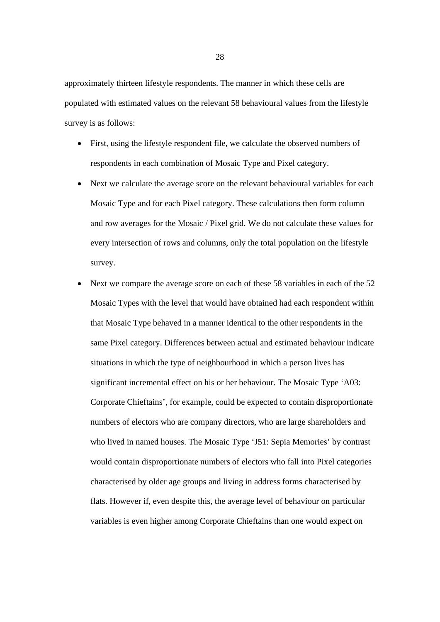approximately thirteen lifestyle respondents. The manner in which these cells are populated with estimated values on the relevant 58 behavioural values from the lifestyle survey is as follows:

- First, using the lifestyle respondent file, we calculate the observed numbers of respondents in each combination of Mosaic Type and Pixel category.
- Next we calculate the average score on the relevant behavioural variables for each Mosaic Type and for each Pixel category. These calculations then form column and row averages for the Mosaic / Pixel grid. We do not calculate these values for every intersection of rows and columns, only the total population on the lifestyle survey.
- Next we compare the average score on each of these 58 variables in each of the 52 Mosaic Types with the level that would have obtained had each respondent within that Mosaic Type behaved in a manner identical to the other respondents in the same Pixel category. Differences between actual and estimated behaviour indicate situations in which the type of neighbourhood in which a person lives has significant incremental effect on his or her behaviour. The Mosaic Type 'A03: Corporate Chieftains', for example, could be expected to contain disproportionate numbers of electors who are company directors, who are large shareholders and who lived in named houses. The Mosaic Type 'J51: Sepia Memories' by contrast would contain disproportionate numbers of electors who fall into Pixel categories characterised by older age groups and living in address forms characterised by flats. However if, even despite this, the average level of behaviour on particular variables is even higher among Corporate Chieftains than one would expect on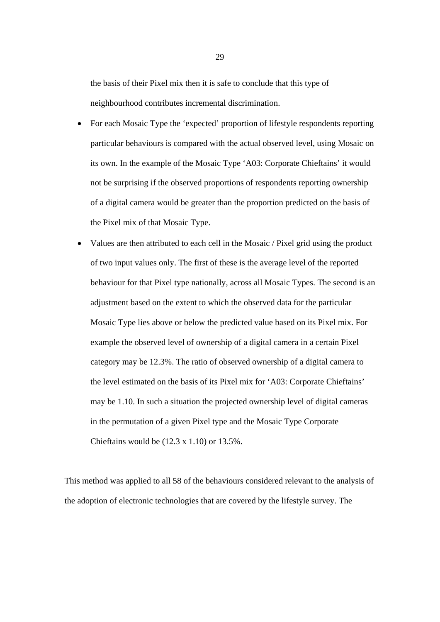the basis of their Pixel mix then it is safe to conclude that this type of neighbourhood contributes incremental discrimination.

- For each Mosaic Type the 'expected' proportion of lifestyle respondents reporting particular behaviours is compared with the actual observed level, using Mosaic on its own. In the example of the Mosaic Type 'A03: Corporate Chieftains' it would not be surprising if the observed proportions of respondents reporting ownership of a digital camera would be greater than the proportion predicted on the basis of the Pixel mix of that Mosaic Type.
- Values are then attributed to each cell in the Mosaic / Pixel grid using the product of two input values only. The first of these is the average level of the reported behaviour for that Pixel type nationally, across all Mosaic Types. The second is an adjustment based on the extent to which the observed data for the particular Mosaic Type lies above or below the predicted value based on its Pixel mix. For example the observed level of ownership of a digital camera in a certain Pixel category may be 12.3%. The ratio of observed ownership of a digital camera to the level estimated on the basis of its Pixel mix for 'A03: Corporate Chieftains' may be 1.10. In such a situation the projected ownership level of digital cameras in the permutation of a given Pixel type and the Mosaic Type Corporate Chieftains would be (12.3 x 1.10) or 13.5%.

This method was applied to all 58 of the behaviours considered relevant to the analysis of the adoption of electronic technologies that are covered by the lifestyle survey. The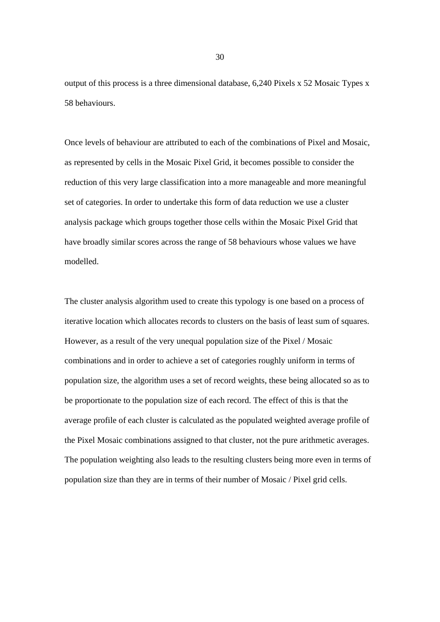output of this process is a three dimensional database, 6,240 Pixels x 52 Mosaic Types x 58 behaviours.

Once levels of behaviour are attributed to each of the combinations of Pixel and Mosaic, as represented by cells in the Mosaic Pixel Grid, it becomes possible to consider the reduction of this very large classification into a more manageable and more meaningful set of categories. In order to undertake this form of data reduction we use a cluster analysis package which groups together those cells within the Mosaic Pixel Grid that have broadly similar scores across the range of 58 behaviours whose values we have modelled.

The cluster analysis algorithm used to create this typology is one based on a process of iterative location which allocates records to clusters on the basis of least sum of squares. However, as a result of the very unequal population size of the Pixel / Mosaic combinations and in order to achieve a set of categories roughly uniform in terms of population size, the algorithm uses a set of record weights, these being allocated so as to be proportionate to the population size of each record. The effect of this is that the average profile of each cluster is calculated as the populated weighted average profile of the Pixel Mosaic combinations assigned to that cluster, not the pure arithmetic averages. The population weighting also leads to the resulting clusters being more even in terms of population size than they are in terms of their number of Mosaic / Pixel grid cells.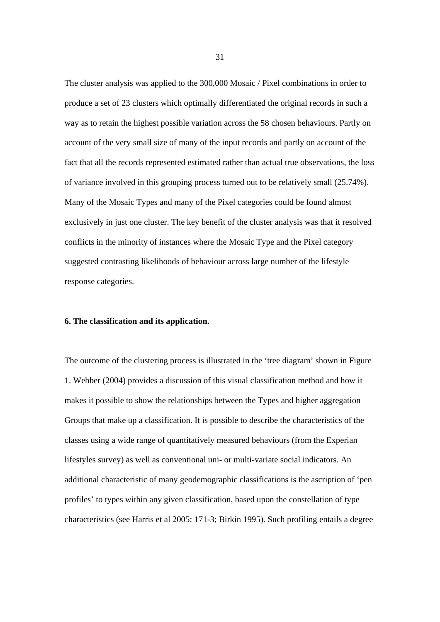The cluster analysis was applied to the 300,000 Mosaic / Pixel combinations in order to produce a set of 23 clusters which optimally differentiated the original records in such a way as to retain the highest possible variation across the 58 chosen behaviours. Partly on account of the very small size of many of the input records and partly on account of the fact that all the records represented estimated rather than actual true observations, the loss of variance involved in this grouping process turned out to be relatively small (25.74%). Many of the Mosaic Types and many of the Pixel categories could be found almost exclusively in just one cluster. The key benefit of the cluster analysis was that it resolved conflicts in the minority of instances where the Mosaic Type and the Pixel category suggested contrasting likelihoods of behaviour across large number of the lifestyle response categories.

#### **6. The classification and its application.**

The outcome of the clustering process is illustrated in the 'tree diagram' shown in Figure 1. Webber (2004) provides a discussion of this visual classification method and how it makes it possible to show the relationships between the Types and higher aggregation Groups that make up a classification. It is possible to describe the characteristics of the classes using a wide range of quantitatively measured behaviours (from the Experian lifestyles survey) as well as conventional uni- or multi-variate social indicators. An additional characteristic of many geodemographic classifications is the ascription of 'pen profiles' to types within any given classification, based upon the constellation of type characteristics (see Harris et al 2005: 171-3; Birkin 1995). Such profiling entails a degree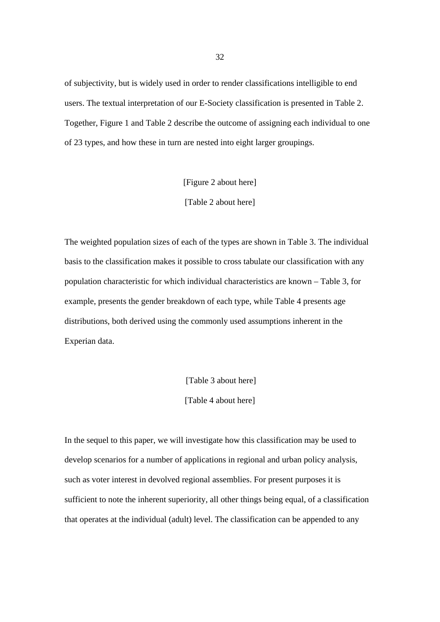of subjectivity, but is widely used in order to render classifications intelligible to end users. The textual interpretation of our E-Society classification is presented in Table 2. Together, Figure 1 and Table 2 describe the outcome of assigning each individual to one of 23 types, and how these in turn are nested into eight larger groupings.

[Figure 2 about here]

[Table 2 about here]

The weighted population sizes of each of the types are shown in Table 3. The individual basis to the classification makes it possible to cross tabulate our classification with any population characteristic for which individual characteristics are known – Table 3, for example, presents the gender breakdown of each type, while Table 4 presents age distributions, both derived using the commonly used assumptions inherent in the Experian data.

[Table 3 about here]

[Table 4 about here]

In the sequel to this paper, we will investigate how this classification may be used to develop scenarios for a number of applications in regional and urban policy analysis, such as voter interest in devolved regional assemblies. For present purposes it is sufficient to note the inherent superiority, all other things being equal, of a classification that operates at the individual (adult) level. The classification can be appended to any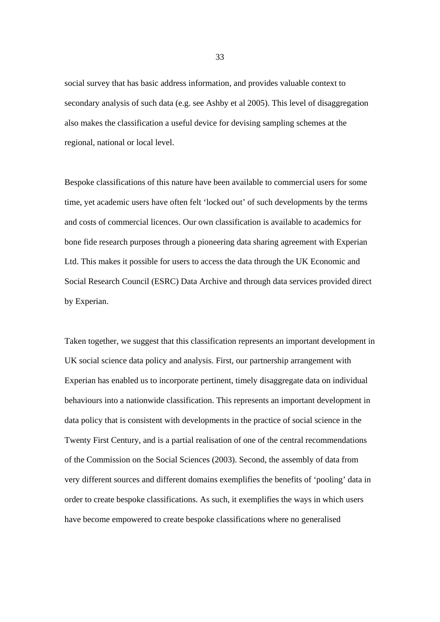social survey that has basic address information, and provides valuable context to secondary analysis of such data (e.g. see Ashby et al 2005). This level of disaggregation also makes the classification a useful device for devising sampling schemes at the regional, national or local level.

Bespoke classifications of this nature have been available to commercial users for some time, yet academic users have often felt 'locked out' of such developments by the terms and costs of commercial licences. Our own classification is available to academics for bone fide research purposes through a pioneering data sharing agreement with Experian Ltd. This makes it possible for users to access the data through the UK Economic and Social Research Council (ESRC) Data Archive and through data services provided direct by Experian.

Taken together, we suggest that this classification represents an important development in UK social science data policy and analysis. First, our partnership arrangement with Experian has enabled us to incorporate pertinent, timely disaggregate data on individual behaviours into a nationwide classification. This represents an important development in data policy that is consistent with developments in the practice of social science in the Twenty First Century, and is a partial realisation of one of the central recommendations of the Commission on the Social Sciences (2003). Second, the assembly of data from very different sources and different domains exemplifies the benefits of 'pooling' data in order to create bespoke classifications. As such, it exemplifies the ways in which users have become empowered to create bespoke classifications where no generalised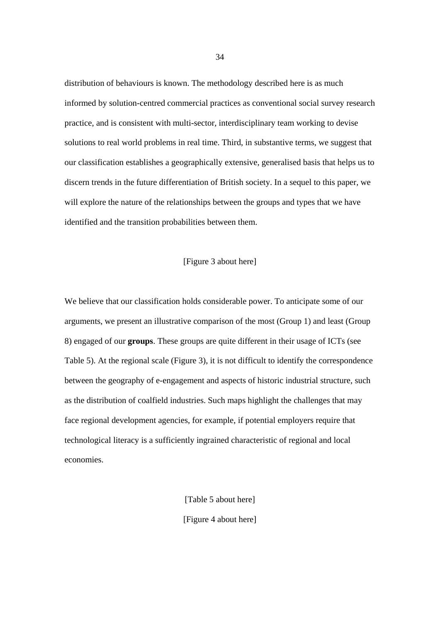distribution of behaviours is known. The methodology described here is as much informed by solution-centred commercial practices as conventional social survey research practice, and is consistent with multi-sector, interdisciplinary team working to devise solutions to real world problems in real time. Third, in substantive terms, we suggest that our classification establishes a geographically extensive, generalised basis that helps us to discern trends in the future differentiation of British society. In a sequel to this paper, we will explore the nature of the relationships between the groups and types that we have identified and the transition probabilities between them.

#### [Figure 3 about here]

We believe that our classification holds considerable power. To anticipate some of our arguments, we present an illustrative comparison of the most (Group 1) and least (Group 8) engaged of our **groups**. These groups are quite different in their usage of ICTs (see Table 5). At the regional scale (Figure 3), it is not difficult to identify the correspondence between the geography of e-engagement and aspects of historic industrial structure, such as the distribution of coalfield industries. Such maps highlight the challenges that may face regional development agencies, for example, if potential employers require that technological literacy is a sufficiently ingrained characteristic of regional and local economies.

> [Table 5 about here] [Figure 4 about here]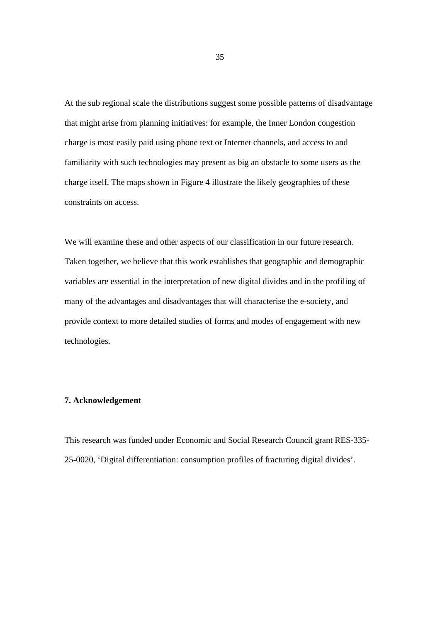At the sub regional scale the distributions suggest some possible patterns of disadvantage that might arise from planning initiatives: for example, the Inner London congestion charge is most easily paid using phone text or Internet channels, and access to and familiarity with such technologies may present as big an obstacle to some users as the charge itself. The maps shown in Figure 4 illustrate the likely geographies of these constraints on access.

We will examine these and other aspects of our classification in our future research. Taken together, we believe that this work establishes that geographic and demographic variables are essential in the interpretation of new digital divides and in the profiling of many of the advantages and disadvantages that will characterise the e-society, and provide context to more detailed studies of forms and modes of engagement with new technologies.

#### **7. Acknowledgement**

This research was funded under Economic and Social Research Council grant RES-335- 25-0020, 'Digital differentiation: consumption profiles of fracturing digital divides'.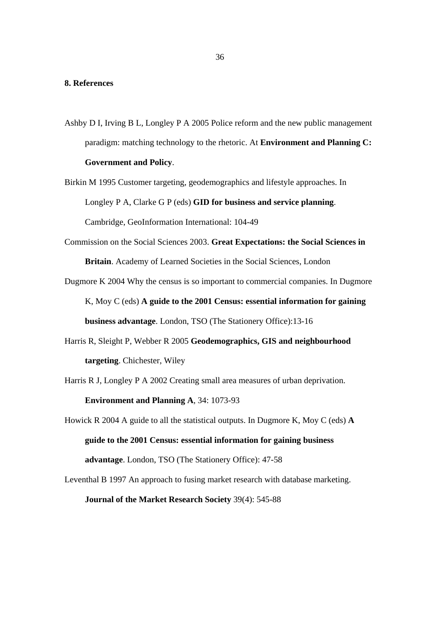#### **8. References**

- Ashby D I, Irving B L, Longley P A 2005 Police reform and the new public management paradigm: matching technology to the rhetoric. At **Environment and Planning C: Government and Policy**.
- Birkin M 1995 Customer targeting, geodemographics and lifestyle approaches. In Longley P A, Clarke G P (eds) **GID for business and service planning**. Cambridge, GeoInformation International: 104-49
- Commission on the Social Sciences 2003. **Great Expectations: the Social Sciences in Britain**. Academy of Learned Societies in the Social Sciences, London
- Dugmore K 2004 Why the census is so important to commercial companies. In Dugmore K, Moy C (eds) **A guide to the 2001 Census: essential information for gaining business advantage**. London, TSO (The Stationery Office):13-16
- Harris R, Sleight P, Webber R 2005 **Geodemographics, GIS and neighbourhood targeting**. Chichester, Wiley
- Harris R J, Longley P A 2002 Creating small area measures of urban deprivation. **Environment and Planning A**, 34: 1073-93
- Howick R 2004 A guide to all the statistical outputs. In Dugmore K, Moy C (eds) **A guide to the 2001 Census: essential information for gaining business advantage**. London, TSO (The Stationery Office): 47-58

Leventhal B 1997 An approach to fusing market research with database marketing. **Journal of the Market Research Society** 39(4): 545-88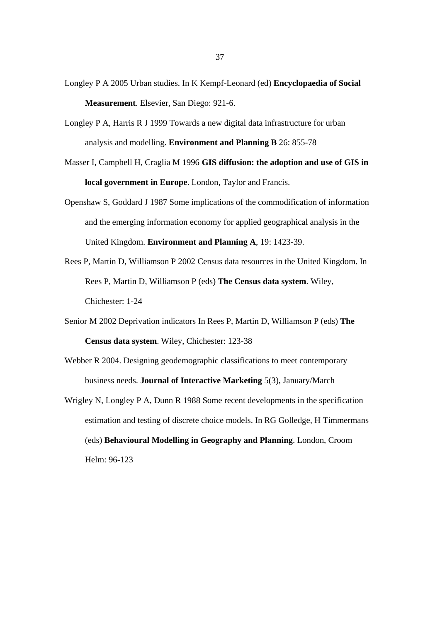- Longley P A 2005 Urban studies. In K Kempf-Leonard (ed) **Encyclopaedia of Social Measurement**. Elsevier, San Diego: 921-6.
- Longley P A, Harris R J 1999 Towards a new digital data infrastructure for urban analysis and modelling. **Environment and Planning B** 26: 855-78
- Masser I, Campbell H, Craglia M 1996 **GIS diffusion: the adoption and use of GIS in local government in Europe**. London, Taylor and Francis.
- Openshaw S, Goddard J 1987 Some implications of the commodification of information and the emerging information economy for applied geographical analysis in the United Kingdom. **Environment and Planning A**, 19: 1423-39.
- Rees P, Martin D, Williamson P 2002 Census data resources in the United Kingdom. In Rees P, Martin D, Williamson P (eds) **The Census data system**. Wiley, Chichester: 1-24
- Senior M 2002 Deprivation indicators In Rees P, Martin D, Williamson P (eds) **The Census data system**. Wiley, Chichester: 123-38
- Webber R 2004. Designing geodemographic classifications to meet contemporary business needs. **Journal of Interactive Marketing** 5(3), January/March
- Wrigley N, Longley P A, Dunn R 1988 Some recent developments in the specification estimation and testing of discrete choice models. In RG Golledge, H Timmermans (eds) **Behavioural Modelling in Geography and Planning**. London, Croom Helm: 96-123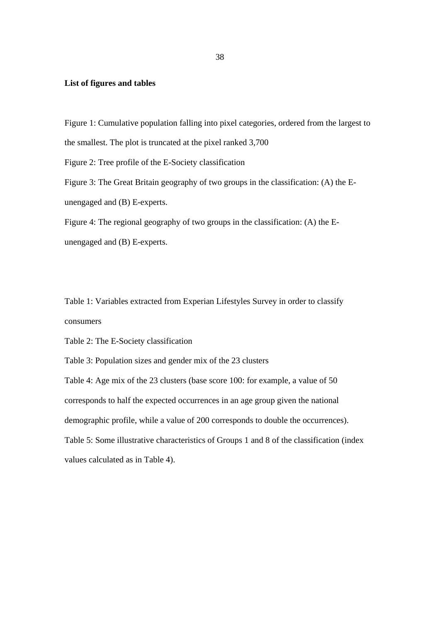#### **List of figures and tables**

Figure 1: Cumulative population falling into pixel categories, ordered from the largest to the smallest. The plot is truncated at the pixel ranked 3,700 Figure 2: Tree profile of the E-Society classification Figure 3: The Great Britain geography of two groups in the classification: (A) the Eunengaged and (B) E-experts. Figure 4: The regional geography of two groups in the classification: (A) the E-

unengaged and (B) E-experts.

Table 1: Variables extracted from Experian Lifestyles Survey in order to classify consumers

Table 2: The E-Society classification

Table 3: Population sizes and gender mix of the 23 clusters

Table 4: Age mix of the 23 clusters (base score 100: for example, a value of 50 corresponds to half the expected occurrences in an age group given the national demographic profile, while a value of 200 corresponds to double the occurrences). Table 5: Some illustrative characteristics of Groups 1 and 8 of the classification (index values calculated as in Table 4).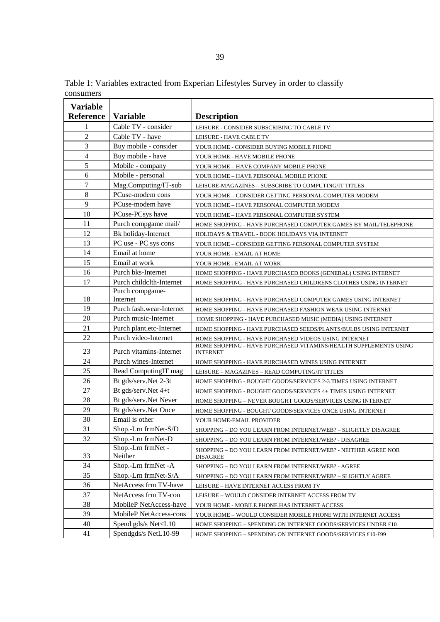Table 1: Variables extracted from Experian Lifestyles Survey in order to classify consumers

| <b>Variable</b> |                                                                                                           |                                                                                                                          |  |  |
|-----------------|-----------------------------------------------------------------------------------------------------------|--------------------------------------------------------------------------------------------------------------------------|--|--|
| Reference       | <b>Variable</b>                                                                                           | <b>Description</b>                                                                                                       |  |  |
| 1               | Cable TV - consider                                                                                       | LEISURE - CONSIDER SUBSCRIBING TO CABLE TV                                                                               |  |  |
| $\overline{2}$  | Cable TV - have                                                                                           | LEISURE - HAVE CABLE TV                                                                                                  |  |  |
| 3               | Buy mobile - consider                                                                                     | YOUR HOME - CONSIDER BUYING MOBILE PHONE                                                                                 |  |  |
| 4               | Buy mobile - have                                                                                         | YOUR HOME - HAVE MOBILE PHONE                                                                                            |  |  |
| 5               | Mobile - company                                                                                          | YOUR HOME - HAVE COMPANY MOBILE PHONE                                                                                    |  |  |
| 6               | Mobile - personal                                                                                         | YOUR HOME – HAVE PERSONAL MOBILE PHONE                                                                                   |  |  |
| 7               | Mag.Computing/IT-sub                                                                                      | LEISURE-MAGAZINES - SUBSCRIBE TO COMPUTING/IT TITLES                                                                     |  |  |
| $\,8\,$         | PCuse-modem cons                                                                                          | YOUR HOME - CONSIDER GETTING PERSONAL COMPUTER MODEM                                                                     |  |  |
| 9               | PCuse-modem have                                                                                          | YOUR HOME - HAVE PERSONAL COMPUTER MODEM                                                                                 |  |  |
| 10              | PCuse-PCsys have                                                                                          | YOUR HOME - HAVE PERSONAL COMPUTER SYSTEM                                                                                |  |  |
| 11              | Purch compgame mail/                                                                                      | HOME SHOPPING - HAVE PURCHASED COMPUTER GAMES BY MAIL/TELEPHONE                                                          |  |  |
| 12              | Bk holiday-Internet                                                                                       | HOLIDAYS & TRAVEL - BOOK HOLIDAYS VIA INTERNET                                                                           |  |  |
| 13              | PC use - PC sys cons                                                                                      | YOUR HOME - CONSIDER GETTING PERSONAL COMPUTER SYSTEM                                                                    |  |  |
| 14              | Email at home                                                                                             | YOUR HOME - EMAIL AT HOME                                                                                                |  |  |
| 15              | Email at work                                                                                             | YOUR HOME - EMAIL AT WORK                                                                                                |  |  |
| 16              | Purch bks-Internet                                                                                        | HOME SHOPPING - HAVE PURCHASED BOOKS (GENERAL) USING INTERNET                                                            |  |  |
| 17              | Purch childclth-Internet                                                                                  | HOME SHOPPING - HAVE PURCHASED CHILDRENS CLOTHES USING INTERNET                                                          |  |  |
|                 | Purch compgame-                                                                                           |                                                                                                                          |  |  |
| 18              | Internet                                                                                                  | HOME SHOPPING - HAVE PURCHASED COMPUTER GAMES USING INTERNET                                                             |  |  |
| 19              | Purch fash.wear-Internet                                                                                  | HOME SHOPPING - HAVE PURCHASED FASHION WEAR USING INTERNET                                                               |  |  |
| 20              | Purch music-Internet                                                                                      | HOME SHOPPING - HAVE PURCHASED MUSIC (MEDIA) USING INTERNET                                                              |  |  |
| 21              | Purch plant.etc-Internet                                                                                  | HOME SHOPPING - HAVE PURCHASED SEEDS/PLANTS/BULBS USING INTERNET                                                         |  |  |
| 22              | Purch video-Internet                                                                                      | HOME SHOPPING - HAVE PURCHASED VIDEOS USING INTERNET<br>HOME SHOPPING - HAVE PURCHASED VITAMINS/HEALTH SUPPLEMENTS USING |  |  |
| 23              | Purch vitamins-Internet                                                                                   | <b>INTERNET</b>                                                                                                          |  |  |
| 24              | Purch wines-Internet                                                                                      | HOME SHOPPING - HAVE PURCHASED WINES USING INTERNET                                                                      |  |  |
| 25              | Read ComputingIT mag                                                                                      | LEISURE - MAGAZINES - READ COMPUTING/IT TITLES                                                                           |  |  |
| 26              | Bt gds/serv.Net 2-3t                                                                                      | HOME SHOPPING - BOUGHT GOODS/SERVICES 2-3 TIMES USING INTERNET                                                           |  |  |
| 27              | Bt gds/serv.Net 4+t                                                                                       | HOME SHOPPING - BOUGHT GOODS/SERVICES 4+ TIMES USING INTERNET                                                            |  |  |
| 28              | Bt gds/serv.Net Never                                                                                     | HOME SHOPPING - NEVER BOUGHT GOODS/SERVICES USING INTERNET                                                               |  |  |
| 29              | Bt gds/serv.Net Once                                                                                      | HOME SHOPPING - BOUGHT GOODS/SERVICES ONCE USING INTERNET                                                                |  |  |
| 30              | Email is other                                                                                            | YOUR HOME-EMAIL PROVIDER                                                                                                 |  |  |
| 31              | Shop.-Lrn frmNet-S/D                                                                                      | SHOPPING - DO YOU LEARN FROM INTERNET/WEB? - SLIGHTLY DISAGREE                                                           |  |  |
| 32              | Shop.-Lrn frmNet-D                                                                                        | SHOPPING - DO YOU LEARN FROM INTERNET/WEB? - DISAGREE                                                                    |  |  |
| 33              | Shop.-Lrn frmNet -<br>Neither                                                                             | SHOPPING - DO YOU LEARN FROM INTERNET/WEB? - NEITHER AGREE NOR<br><b>DISAGREE</b>                                        |  |  |
| 34              | Shop.-Lrn frmNet -A                                                                                       | SHOPPING - DO YOU LEARN FROM INTERNET/WEB? - AGREE                                                                       |  |  |
| 35              | Shop.-Lrn frmNet-S/A                                                                                      | SHOPPING – DO YOU LEARN FROM INTERNET/WEB? – SLIGHTLY AGREE                                                              |  |  |
| 36              | NetAccess frm TV-have                                                                                     | LEISURE - HAVE INTERNET ACCESS FROM TV                                                                                   |  |  |
| 37              | NetAccess frm TV-con                                                                                      | LEISURE - WOULD CONSIDER INTERNET ACCESS FROM TV                                                                         |  |  |
| 38              | MobileP NetAccess-have                                                                                    | YOUR HOME - MOBILE PHONE HAS INTERNET ACCESS                                                                             |  |  |
| 39              | MobileP NetAccess-cons                                                                                    | YOUR HOME - WOULD CONSIDER MOBILE PHONE WITH INTERNET ACCESS                                                             |  |  |
| 40              | Spend gds/s Net <l10< td=""><td>HOME SHOPPING - SPENDING ON INTERNET GOODS/SERVICES UNDER £10</td></l10<> | HOME SHOPPING - SPENDING ON INTERNET GOODS/SERVICES UNDER £10                                                            |  |  |
| 41              | Spendgds/s NetL10-99                                                                                      | HOME SHOPPING - SPENDING ON INTERNET GOODS/SERVICES £10-£99                                                              |  |  |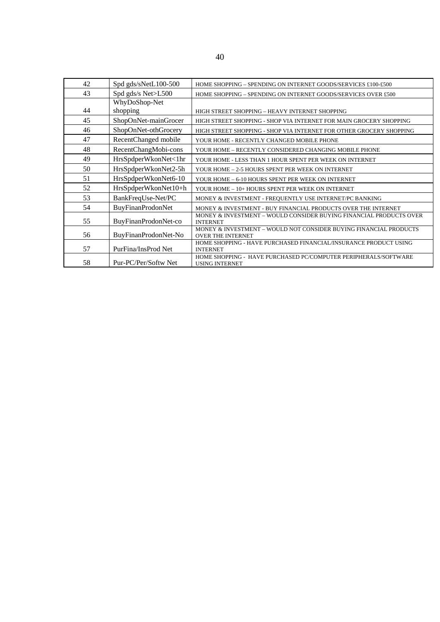| 42 | Spd gds/sNetL100-500     | HOME SHOPPING - SPENDING ON INTERNET GOODS/SERVICES £100-£500                                 |
|----|--------------------------|-----------------------------------------------------------------------------------------------|
| 43 | Spd gds/s Net>L500       | HOME SHOPPING - SPENDING ON INTERNET GOODS/SERVICES OVER £500                                 |
|    | WhyDoShop-Net            |                                                                                               |
| 44 | shopping                 | HIGH STREET SHOPPING - HEAVY INTERNET SHOPPING                                                |
| 45 | ShopOnNet-mainGrocer     | HIGH STREET SHOPPING - SHOP VIA INTERNET FOR MAIN GROCERY SHOPPING                            |
| 46 | ShopOnNet-othGrocery     | HIGH STREET SHOPPING - SHOP VIA INTERNET FOR OTHER GROCERY SHOPPING                           |
| 47 | RecentChanged mobile     | YOUR HOME - RECENTLY CHANGED MOBILE PHONE                                                     |
| 48 | RecentChangMobi-cons     | YOUR HOME - RECENTLY CONSIDERED CHANGING MOBILE PHONE                                         |
| 49 | HrsSpdperWkonNet<1hr     | YOUR HOME - LESS THAN 1 HOUR SPENT PER WEEK ON INTERNET                                       |
| 50 | HrsSpdperWkonNet2-5h     | YOUR HOME - 2-5 HOURS SPENT PER WEEK ON INTERNET                                              |
| 51 | HrsSpdperWkonNet6-10     | YOUR HOME - 6-10 HOURS SPENT PER WEEK ON INTERNET                                             |
| 52 | HrsSpdperWkonNet10+h     | YOUR HOME - 10+ HOURS SPENT PER WEEK ON INTERNET                                              |
| 53 | BankFreqUse-Net/PC       | MONEY & INVESTMENT - FREQUENTLY USE INTERNET/PC BANKING                                       |
| 54 | <b>BuyFinanProdonNet</b> | MONEY & INVESTMENT - BUY FINANCIAL PRODUCTS OVER THE INTERNET                                 |
| 55 | BuyFinanProdonNet-co     | MONEY & INVESTMENT - WOULD CONSIDER BUYING FINANCIAL PRODUCTS OVER<br><b>INTERNET</b>         |
| 56 | BuyFinanProdonNet-No     | MONEY & INVESTMENT - WOULD NOT CONSIDER BUYING FINANCIAL PRODUCTS<br><b>OVER THE INTERNET</b> |
| 57 | PurFina/InsProd Net      | HOME SHOPPING - HAVE PURCHASED FINANCIAL/INSURANCE PRODUCT USING<br><b>INTERNET</b>           |
| 58 | Pur-PC/Per/Softw Net     | HOME SHOPPING - HAVE PURCHASED PC/COMPUTER PERIPHERALS/SOFTWARE<br><b>USING INTERNET</b>      |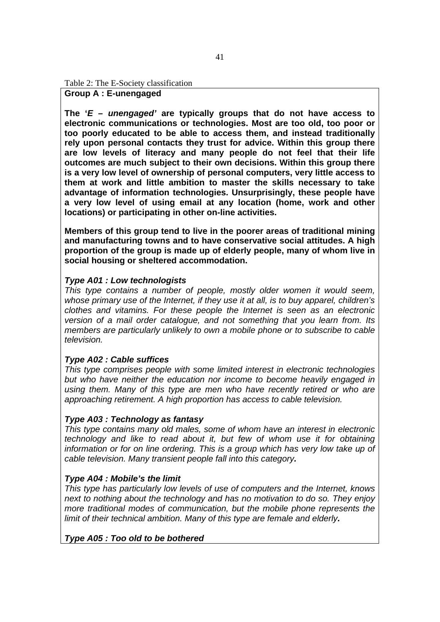Table 2: The E-Society classification

#### **Group A : E-unengaged**

**The '***E – unengaged'* **are typically groups that do not have access to electronic communications or technologies. Most are too old, too poor or too poorly educated to be able to access them, and instead traditionally rely upon personal contacts they trust for advice. Within this group there are low levels of literacy and many people do not feel that their life outcomes are much subject to their own decisions. Within this group there is a very low level of ownership of personal computers, very little access to them at work and little ambition to master the skills necessary to take advantage of information technologies. Unsurprisingly, these people have a very low level of using email at any location (home, work and other locations) or participating in other on-line activities.** 

**Members of this group tend to live in the poorer areas of traditional mining and manufacturing towns and to have conservative social attitudes. A high proportion of the group is made up of elderly people, many of whom live in social housing or sheltered accommodation.** 

#### *Type A01 : Low technologists*

*This type contains a number of people, mostly older women it would seem, whose primary use of the Internet, if they use it at all, is to buy apparel, children's clothes and vitamins. For these people the Internet is seen as an electronic version of a mail order catalogue, and not something that you learn from. Its members are particularly unlikely to own a mobile phone or to subscribe to cable television.* 

#### *Type A02 : Cable suffices*

*This type comprises people with some limited interest in electronic technologies but who have neither the education nor income to become heavily engaged in using them. Many of this type are men who have recently retired or who are approaching retirement. A high proportion has access to cable television.* 

#### *Type A03 : Technology as fantasy*

*This type contains many old males, some of whom have an interest in electronic technology and like to read about it, but few of whom use it for obtaining information or for on line ordering. This is a group which has very low take up of cable television. Many transient people fall into this category.* 

#### *Type A04 : Mobile's the limit*

*This type has particularly low levels of use of computers and the Internet, knows next to nothing about the technology and has no motivation to do so. They enjoy more traditional modes of communication, but the mobile phone represents the limit of their technical ambition. Many of this type are female and elderly.* 

#### *Type A05 : Too old to be bothered*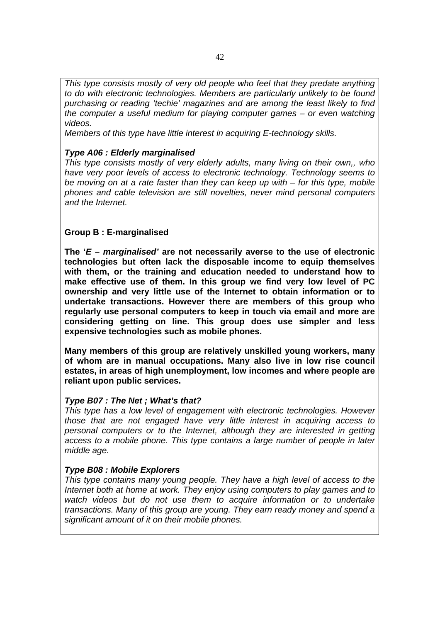*This type consists mostly of very old people who feel that they predate anything to do with electronic technologies. Members are particularly unlikely to be found purchasing or reading 'techie' magazines and are among the least likely to find the computer a useful medium for playing computer games – or even watching videos.* 

*Members of this type have little interest in acquiring E-technology skills.* 

#### *Type A06 : Elderly marginalised*

*This type consists mostly of very elderly adults, many living on their own,, who have very poor levels of access to electronic technology. Technology seems to be moving on at a rate faster than they can keep up with – for this type, mobile phones and cable television are still novelties, never mind personal computers and the Internet.* 

#### **Group B : E-marginalised**

**The '***E – marginalised'* **are not necessarily averse to the use of electronic technologies but often lack the disposable income to equip themselves with them, or the training and education needed to understand how to make effective use of them. In this group we find very low level of PC ownership and very little use of the Internet to obtain information or to undertake transactions. However there are members of this group who regularly use personal computers to keep in touch via email and more are considering getting on line. This group does use simpler and less expensive technologies such as mobile phones.** 

**Many members of this group are relatively unskilled young workers, many of whom are in manual occupations. Many also live in low rise council estates, in areas of high unemployment, low incomes and where people are reliant upon public services.** 

#### *Type B07 : The Net ; What's that?*

*This type has a low level of engagement with electronic technologies. However those that are not engaged have very little interest in acquiring access to personal computers or to the Internet, although they are interested in getting access to a mobile phone. This type contains a large number of people in later middle age.* 

#### *Type B08 : Mobile Explorers*

*This type contains many young people. They have a high level of access to the Internet both at home at work. They enjoy using computers to play games and to watch videos but do not use them to acquire information or to undertake transactions. Many of this group are young. They earn ready money and spend a significant amount of it on their mobile phones.*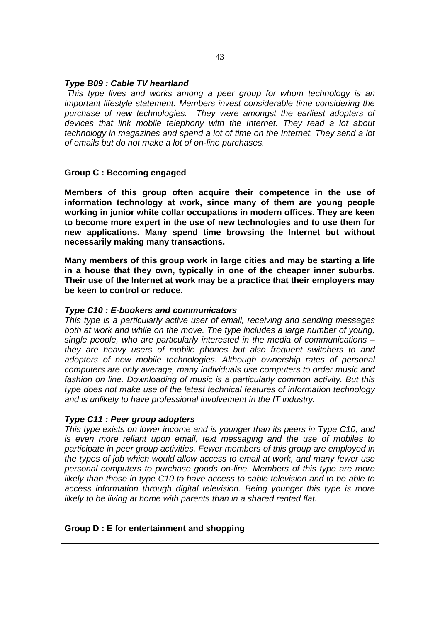#### *Type B09 : Cable TV heartland*

*This type lives and works among a peer group for whom technology is an important lifestyle statement. Members invest considerable time considering the purchase of new technologies. They were amongst the earliest adopters of devices that link mobile telephony with the Internet. They read a lot about technology in magazines and spend a lot of time on the Internet. They send a lot of emails but do not make a lot of on-line purchases.*

#### **Group C : Becoming engaged**

**Members of this group often acquire their competence in the use of information technology at work, since many of them are young people working in junior white collar occupations in modern offices. They are keen to become more expert in the use of new technologies and to use them for new applications. Many spend time browsing the Internet but without necessarily making many transactions.** 

**Many members of this group work in large cities and may be starting a life in a house that they own, typically in one of the cheaper inner suburbs. Their use of the Internet at work may be a practice that their employers may be keen to control or reduce.** 

#### *Type C10 : E-bookers and communicators*

*This type is a particularly active user of email, receiving and sending messages both at work and while on the move. The type includes a large number of young, single people, who are particularly interested in the media of communications – they are heavy users of mobile phones but also frequent switchers to and adopters of new mobile technologies. Although ownership rates of personal computers are only average, many individuals use computers to order music and fashion on line. Downloading of music is a particularly common activity. But this type does not make use of the latest technical features of information technology and is unlikely to have professional involvement in the IT industry.* 

#### *Type C11 : Peer group adopters*

*This type exists on lower income and is younger than its peers in Type C10, and is even more reliant upon email, text messaging and the use of mobiles to participate in peer group activities. Fewer members of this group are employed in the types of job which would allow access to email at work, and many fewer use personal computers to purchase goods on-line. Members of this type are more likely than those in type C10 to have access to cable television and to be able to access information through digital television. Being younger this type is more likely to be living at home with parents than in a shared rented flat.* 

#### **Group D : E for entertainment and shopping**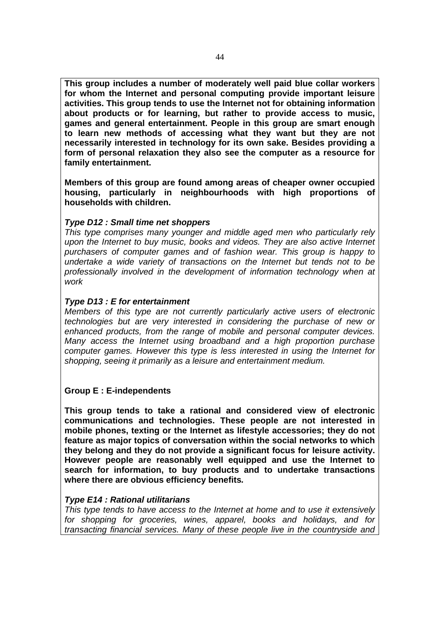**This group includes a number of moderately well paid blue collar workers for whom the Internet and personal computing provide important leisure activities. This group tends to use the Internet not for obtaining information about products or for learning, but rather to provide access to music, games and general entertainment. People in this group are smart enough to learn new methods of accessing what they want but they are not necessarily interested in technology for its own sake. Besides providing a form of personal relaxation they also see the computer as a resource for family entertainment.** 

**Members of this group are found among areas of cheaper owner occupied housing, particularly in neighbourhoods with high proportions of households with children.** 

#### *Type D12 : Small time net shoppers*

*This type comprises many younger and middle aged men who particularly rely upon the Internet to buy music, books and videos. They are also active Internet purchasers of computer games and of fashion wear. This group is happy to undertake a wide variety of transactions on the Internet but tends not to be professionally involved in the development of information technology when at work* 

#### *Type D13 : E for entertainment*

*Members of this type are not currently particularly active users of electronic technologies but are very interested in considering the purchase of new or enhanced products, from the range of mobile and personal computer devices. Many access the Internet using broadband and a high proportion purchase computer games. However this type is less interested in using the Internet for shopping, seeing it primarily as a leisure and entertainment medium.* 

#### **Group E : E-independents**

**This group tends to take a rational and considered view of electronic communications and technologies. These people are not interested in mobile phones, texting or the Internet as lifestyle accessories; they do not feature as major topics of conversation within the social networks to which they belong and they do not provide a significant focus for leisure activity. However people are reasonably well equipped and use the Internet to search for information, to buy products and to undertake transactions where there are obvious efficiency benefits***.* 

#### *Type E14 : Rational utilitarians*

*This type tends to have access to the Internet at home and to use it extensively for shopping for groceries, wines, apparel, books and holidays, and for transacting financial services. Many of these people live in the countryside and*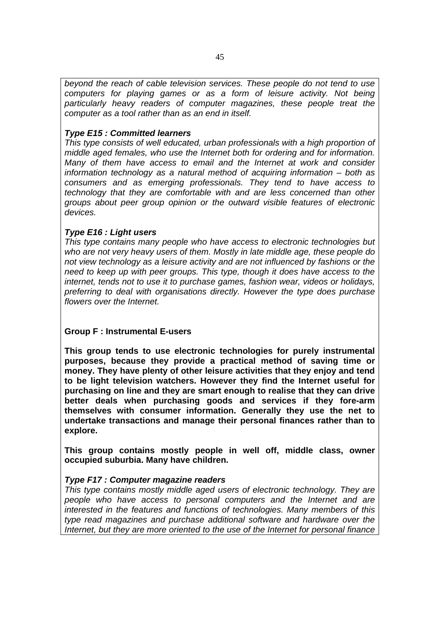*beyond the reach of cable television services. These people do not tend to use computers for playing games or as a form of leisure activity. Not being particularly heavy readers of computer magazines, these people treat the computer as a tool rather than as an end in itself.* 

#### *Type E15 : Committed learners*

*This type consists of well educated, urban professionals with a high proportion of middle aged females, who use the Internet both for ordering and for information. Many of them have access to email and the Internet at work and consider information technology as a natural method of acquiring information – both as consumers and as emerging professionals. They tend to have access to technology that they are comfortable with and are less concerned than other groups about peer group opinion or the outward visible features of electronic devices.* 

#### *Type E16 : Light users*

*This type contains many people who have access to electronic technologies but who are not very heavy users of them. Mostly in late middle age, these people do not view technology as a leisure activity and are not influenced by fashions or the need to keep up with peer groups. This type, though it does have access to the internet, tends not to use it to purchase games, fashion wear, videos or holidays, preferring to deal with organisations directly. However the type does purchase flowers over the Internet.* 

#### **Group F : Instrumental E-users**

**This group tends to use electronic technologies for purely instrumental purposes, because they provide a practical method of saving time or money. They have plenty of other leisure activities that they enjoy and tend to be light television watchers. However they find the Internet useful for purchasing on line and they are smart enough to realise that they can drive better deals when purchasing goods and services if they fore-arm themselves with consumer information. Generally they use the net to undertake transactions and manage their personal finances rather than to explore.** 

**This group contains mostly people in well off, middle class, owner occupied suburbia. Many have children.** 

#### *Type F17 : Computer magazine readers*

*This type contains mostly middle aged users of electronic technology. They are people who have access to personal computers and the Internet and are interested in the features and functions of technologies. Many members of this type read magazines and purchase additional software and hardware over the Internet, but they are more oriented to the use of the Internet for personal finance*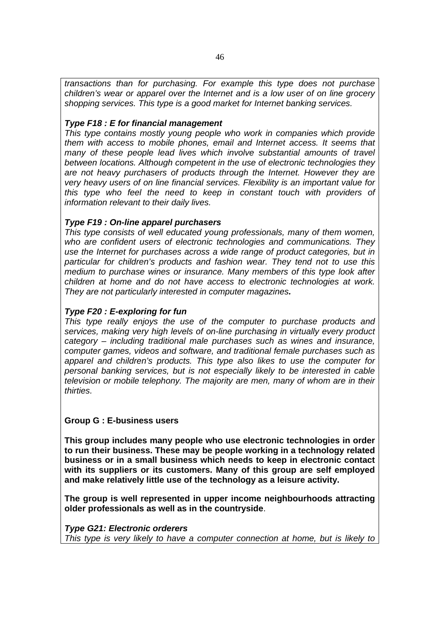*transactions than for purchasing. For example this type does not purchase children's wear or apparel over the Internet and is a low user of on line grocery shopping services. This type is a good market for Internet banking services.* 

#### *Type F18 : E for financial management*

*This type contains mostly young people who work in companies which provide them with access to mobile phones, email and Internet access. It seems that many of these people lead lives which involve substantial amounts of travel between locations. Although competent in the use of electronic technologies they are not heavy purchasers of products through the Internet. However they are very heavy users of on line financial services. Flexibility is an important value for this type who feel the need to keep in constant touch with providers of information relevant to their daily lives.* 

#### *Type F19 : On-line apparel purchasers*

*This type consists of well educated young professionals, many of them women, who are confident users of electronic technologies and communications. They use the Internet for purchases across a wide range of product categories, but in particular for children's products and fashion wear. They tend not to use this medium to purchase wines or insurance. Many members of this type look after children at home and do not have access to electronic technologies at work. They are not particularly interested in computer magazines.* 

#### *Type F20 : E-exploring for fun*

*This type really enjoys the use of the computer to purchase products and services, making very high levels of on-line purchasing in virtually every product category – including traditional male purchases such as wines and insurance, computer games, videos and software, and traditional female purchases such as apparel and children's products. This type also likes to use the computer for personal banking services, but is not especially likely to be interested in cable television or mobile telephony. The majority are men, many of whom are in their thirties.* 

#### **Group G : E-business users**

**This group includes many people who use electronic technologies in order to run their business. These may be people working in a technology related business or in a small business which needs to keep in electronic contact with its suppliers or its customers. Many of this group are self employed and make relatively little use of the technology as a leisure activity.** 

**The group is well represented in upper income neighbourhoods attracting older professionals as well as in the countryside**.

#### *Type G21: Electronic orderers*

*This type is very likely to have a computer connection at home, but is likely to*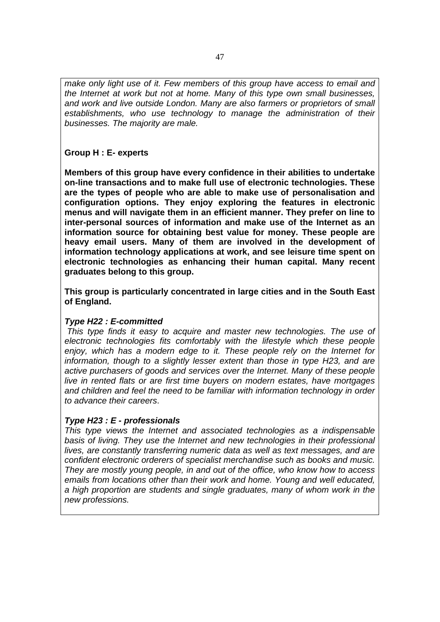*make only light use of it. Few members of this group have access to email and the Internet at work but not at home. Many of this type own small businesses, and work and live outside London. Many are also farmers or proprietors of small establishments, who use technology to manage the administration of their businesses. The majority are male.* 

#### **Group H : E- experts**

**Members of this group have every confidence in their abilities to undertake on-line transactions and to make full use of electronic technologies. These are the types of people who are able to make use of personalisation and configuration options. They enjoy exploring the features in electronic menus and will navigate them in an efficient manner. They prefer on line to inter-personal sources of information and make use of the Internet as an information source for obtaining best value for money. These people are heavy email users. Many of them are involved in the development of information technology applications at work, and see leisure time spent on electronic technologies as enhancing their human capital. Many recent graduates belong to this group.** 

**This group is particularly concentrated in large cities and in the South East of England.** 

#### *Type H22 : E-committed*

 *This type finds it easy to acquire and master new technologies. The use of electronic technologies fits comfortably with the lifestyle which these people enjoy, which has a modern edge to it. These people rely on the Internet for information, though to a slightly lesser extent than those in type H23, and are active purchasers of goods and services over the Internet. Many of these people live in rented flats or are first time buyers on modern estates, have mortgages and children and feel the need to be familiar with information technology in order to advance their careers*.

#### *Type H23 : E - professionals*

*This type views the Internet and associated technologies as a indispensable basis of living. They use the Internet and new technologies in their professional lives, are constantly transferring numeric data as well as text messages, and are confident electronic orderers of specialist merchandise such as books and music. They are mostly young people, in and out of the office, who know how to access emails from locations other than their work and home. Young and well educated, a high proportion are students and single graduates, many of whom work in the new professions.*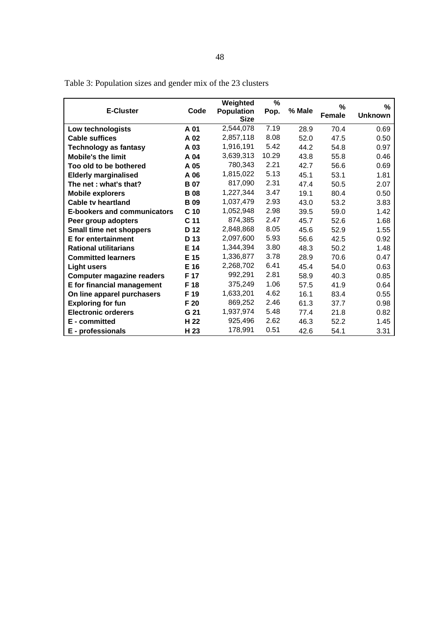|                                    |                 | Weighted          | $\%$  |        |               |                |
|------------------------------------|-----------------|-------------------|-------|--------|---------------|----------------|
| <b>E-Cluster</b>                   | Code            | <b>Population</b> | Pop.  | % Male | $\%$          | %              |
|                                    |                 | <b>Size</b>       |       |        | <b>Female</b> | <b>Unknown</b> |
| Low technologists                  | A 01            | 2,544,078         | 7.19  | 28.9   | 70.4          | 0.69           |
| <b>Cable suffices</b>              | A 02            | 2,857,118         | 8.08  | 52.0   | 47.5          | 0.50           |
| <b>Technology as fantasy</b>       | A 03            | 1,916,191         | 5.42  | 44.2   | 54.8          | 0.97           |
| <b>Mobile's the limit</b>          | A 04            | 3,639,313         | 10.29 | 43.8   | 55.8          | 0.46           |
| Too old to be bothered             | A 05            | 780,343           | 2.21  | 42.7   | 56.6          | 0.69           |
| <b>Elderly marginalised</b>        | A 06            | 1,815,022         | 5.13  | 45.1   | 53.1          | 1.81           |
| The net: what's that?              | <b>B</b> 07     | 817,090           | 2.31  | 47.4   | 50.5          | 2.07           |
| <b>Mobile explorers</b>            | <b>B</b> 08     | 1,227,344         | 3.47  | 19.1   | 80.4          | 0.50           |
| <b>Cable tv heartland</b>          | <b>B</b> 09     | 1,037,479         | 2.93  | 43.0   | 53.2          | 3.83           |
| <b>E-bookers and communicators</b> | C <sub>10</sub> | 1,052,948         | 2.98  | 39.5   | 59.0          | 1.42           |
| Peer group adopters                | C <sub>11</sub> | 874,385           | 2.47  | 45.7   | 52.6          | 1.68           |
| Small time net shoppers            | D 12            | 2,848,868         | 8.05  | 45.6   | 52.9          | 1.55           |
| <b>E</b> for entertainment         | D 13            | 2,097,600         | 5.93  | 56.6   | 42.5          | 0.92           |
| <b>Rational utilitarians</b>       | E 14            | 1,344,394         | 3.80  | 48.3   | 50.2          | 1.48           |
| <b>Committed learners</b>          | E 15            | 1,336,877         | 3.78  | 28.9   | 70.6          | 0.47           |
| <b>Light users</b>                 | E 16            | 2,268,702         | 6.41  | 45.4   | 54.0          | 0.63           |
| <b>Computer magazine readers</b>   | F 17            | 992,291           | 2.81  | 58.9   | 40.3          | 0.85           |
| E for financial management         | F 18            | 375.249           | 1.06  | 57.5   | 41.9          | 0.64           |
| On line apparel purchasers         | F 19            | 1,633,201         | 4.62  | 16.1   | 83.4          | 0.55           |
| <b>Exploring for fun</b>           | F <sub>20</sub> | 869,252           | 2.46  | 61.3   | 37.7          | 0.98           |
| <b>Electronic orderers</b>         | G 21            | 1,937,974         | 5.48  | 77.4   | 21.8          | 0.82           |
| E - committed                      | H <sub>22</sub> | 925,496           | 2.62  | 46.3   | 52.2          | 1.45           |
| E - professionals                  | H <sub>23</sub> | 178,991           | 0.51  | 42.6   | 54.1          | 3.31           |

Table 3: Population sizes and gender mix of the 23 clusters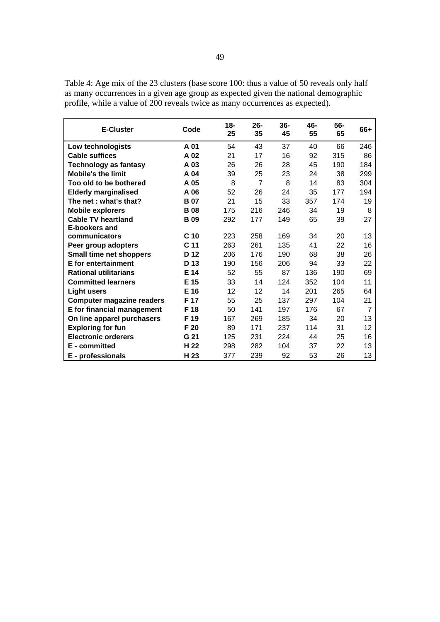| <b>E-Cluster</b>                 | Code            | $18 -$<br>25 | $26 -$<br>35   | $36-$<br>45 | 46-<br>55 | $56-$<br>65 | 66+ |
|----------------------------------|-----------------|--------------|----------------|-------------|-----------|-------------|-----|
| Low technologists                | A 01            | 54           | 43             | 37          | 40        | 66          | 246 |
| <b>Cable suffices</b>            | A 02            | 21           | 17             | 16          | 92        | 315         | 86  |
| <b>Technology as fantasy</b>     | A 03            | 26           | 26             | 28          | 45        | 190         | 184 |
| <b>Mobile's the limit</b>        | A 04            | 39           | 25             | 23          | 24        | 38          | 299 |
| Too old to be bothered           | A 05            | 8            | $\overline{7}$ | 8           | 14        | 83          | 304 |
| <b>Elderly marginalised</b>      | A 06            | 52           | 26             | 24          | 35        | 177         | 194 |
| The net: what's that?            | <b>B07</b>      | 21           | 15             | 33          | 357       | 174         | 19  |
| <b>Mobile explorers</b>          | <b>B</b> 08     | 175          | 216            | 246         | 34        | 19          | 8   |
| <b>Cable TV heartland</b>        | <b>B</b> 09     | 292          | 177            | 149         | 65        | 39          | 27  |
| <b>E-bookers and</b>             |                 |              |                |             |           |             |     |
| communicators                    | C <sub>10</sub> | 223          | 258            | 169         | 34        | 20          | 13  |
| Peer group adopters              | C <sub>11</sub> | 263          | 261            | 135         | 41        | 22          | 16  |
| Small time net shoppers          | D <sub>12</sub> | 206          | 176            | 190         | 68        | 38          | 26  |
| E for entertainment              | D 13            | 190          | 156            | 206         | 94        | 33          | 22  |
| <b>Rational utilitarians</b>     | E 14            | 52           | 55             | 87          | 136       | 190         | 69  |
| <b>Committed learners</b>        | E 15            | 33           | 14             | 124         | 352       | 104         | 11  |
| <b>Light users</b>               | E 16            | 12           | 12             | 14          | 201       | 265         | 64  |
| <b>Computer magazine readers</b> | F 17            | 55           | 25             | 137         | 297       | 104         | 21  |
| E for financial management       | F 18            | 50           | 141            | 197         | 176       | 67          | 7   |
| On line apparel purchasers       | F 19            | 167          | 269            | 185         | 34        | 20          | 13  |
| <b>Exploring for fun</b>         | F 20            | 89           | 171            | 237         | 114       | 31          | 12  |
| <b>Electronic orderers</b>       | G 21            | 125          | 231            | 224         | 44        | 25          | 16  |
| E - committed                    | H 22            | 298          | 282            | 104         | 37        | 22          | 13  |
| E - professionals                | H 23            | 377          | 239            | 92          | 53        | 26          | 13  |

Table 4: Age mix of the 23 clusters (base score 100: thus a value of 50 reveals only half as many occurrences in a given age group as expected given the national demographic profile, while a value of 200 reveals twice as many occurrences as expected).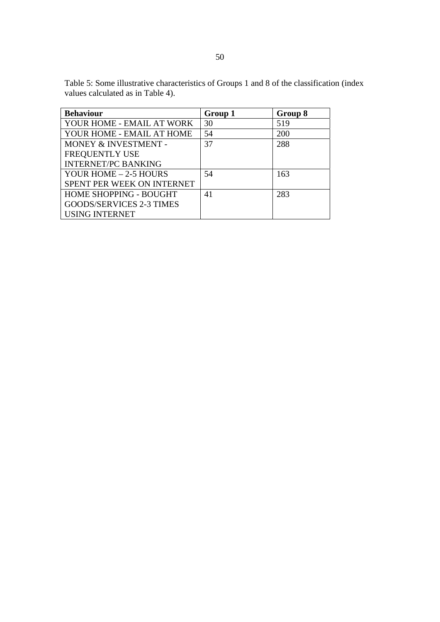| <b>Behaviour</b>                | Group 1 | Group 8 |
|---------------------------------|---------|---------|
| YOUR HOME - EMAIL AT WORK       | 30      | 519     |
| YOUR HOME - EMAIL AT HOME       | 54      | 200     |
| MONEY & INVESTMENT -            | 37      | 288     |
| <b>FREQUENTLY USE</b>           |         |         |
| <b>INTERNET/PC BANKING</b>      |         |         |
| YOUR HOME - 2-5 HOURS           | 54      | 163     |
| SPENT PER WEEK ON INTERNET      |         |         |
| <b>HOME SHOPPING - BOUGHT</b>   | 41      | 283     |
| <b>GOODS/SERVICES 2-3 TIMES</b> |         |         |
| <b>USING INTERNET</b>           |         |         |

Table 5: Some illustrative characteristics of Groups 1 and 8 of the classification (index values calculated as in Table 4).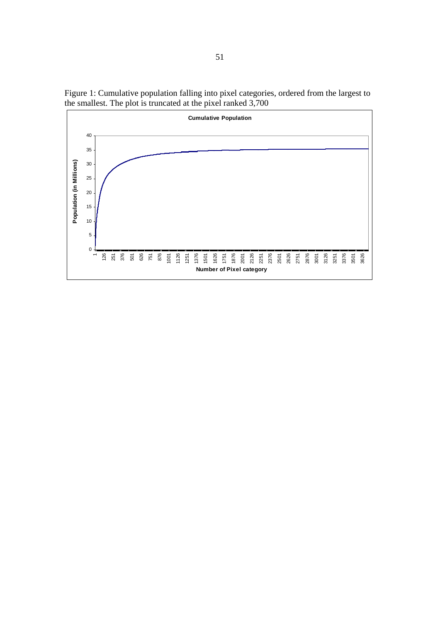

Figure 1: Cumulative population falling into pixel categories, ordered from the largest to the smallest. The plot is truncated at the pixel ranked 3,700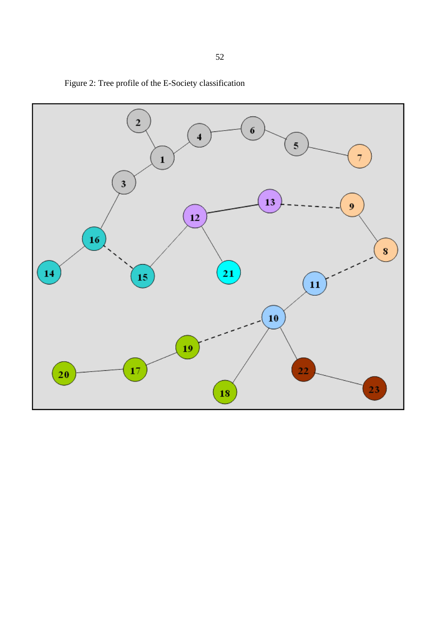

Figure 2: Tree profile of the E-Society classification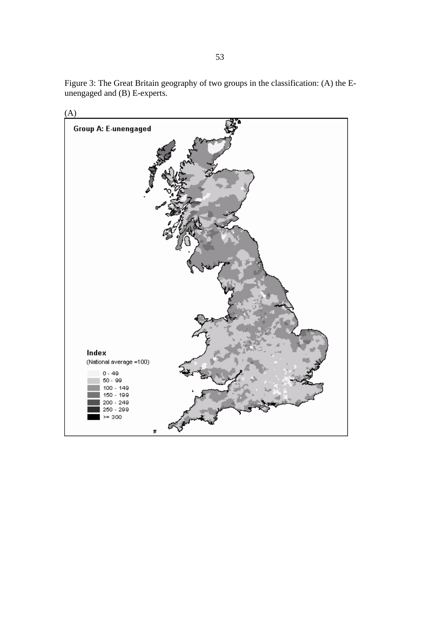

Figure 3: The Great Britain geography of two groups in the classification: (A) the Eunengaged and (B) E-experts.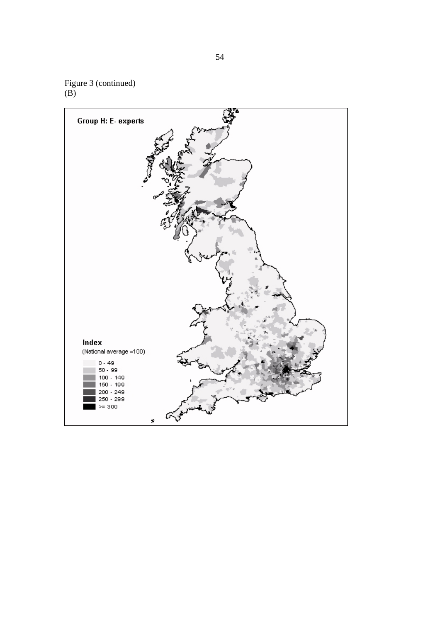